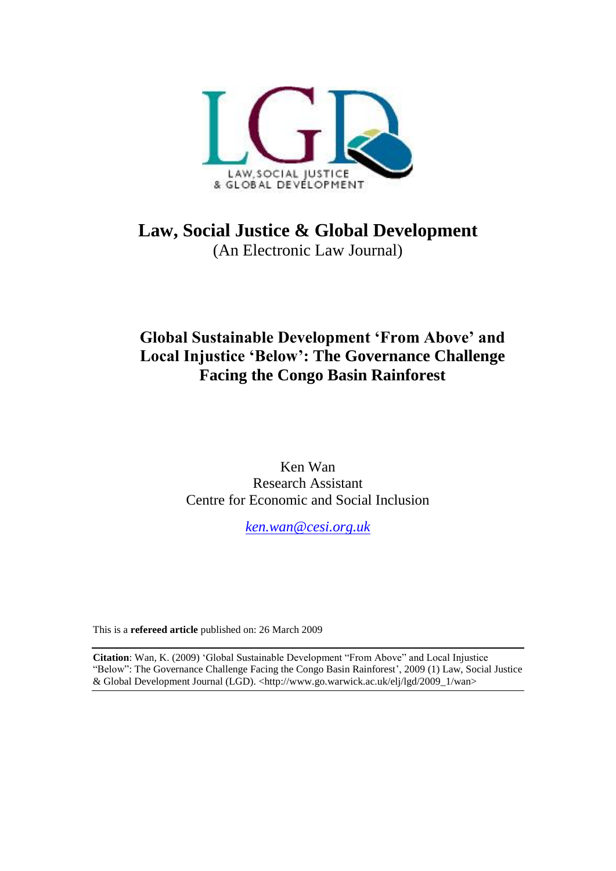

**Law, Social Justice & Global Development** (An Electronic Law Journal)

# **Global Sustainable Development 'From Above' and Local Injustice 'Below': The Governance Challenge Facing the Congo Basin Rainforest**

Ken Wan Research Assistant Centre for Economic and Social Inclusion

*[ken.wan@cesi.org.uk](mailto:ken.wan@cesi.org.uk)*

This is a **refereed article** published on: 26 March 2009

**Citation**: Wan, K. (2009) 'Global Sustainable Development "From Above" and Local Injustice "Below": The Governance Challenge Facing the Congo Basin Rainforest', 2009 (1) Law, Social Justice & Global Development Journal (LGD). <http://www.go.warwick.ac.uk/elj/lgd/2009\_1/wan>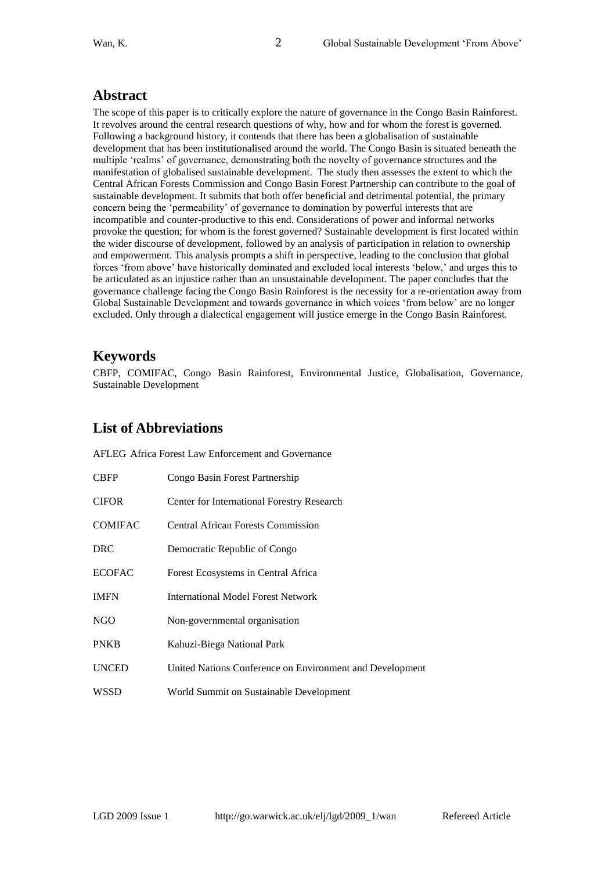### **Abstract**

The scope of this paper is to critically explore the nature of governance in the Congo Basin Rainforest. It revolves around the central research questions of why, how and for whom the forest is governed. Following a background history, it contends that there has been a globalisation of sustainable development that has been institutionalised around the world. The Congo Basin is situated beneath the multiple 'realms' of governance, demonstrating both the novelty of governance structures and the manifestation of globalised sustainable development. The study then assesses the extent to which the Central African Forests Commission and Congo Basin Forest Partnership can contribute to the goal of sustainable development. It submits that both offer beneficial and detrimental potential, the primary concern being the 'permeability' of governance to domination by powerful interests that are incompatible and counter-productive to this end. Considerations of power and informal networks provoke the question; for whom is the forest governed? Sustainable development is first located within the wider discourse of development, followed by an analysis of participation in relation to ownership and empowerment. This analysis prompts a shift in perspective, leading to the conclusion that global forces ‗from above' have historically dominated and excluded local interests ‗below,' and urges this to be articulated as an injustice rather than an unsustainable development. The paper concludes that the governance challenge facing the Congo Basin Rainforest is the necessity for a re-orientation away from Global Sustainable Development and towards governance in which voices 'from below' are no longer excluded. Only through a dialectical engagement will justice emerge in the Congo Basin Rainforest.

# **Keywords**

CBFP, COMIFAC, Congo Basin Rainforest, Environmental Justice, Globalisation, Governance, Sustainable Development

## **List of Abbreviations**

AFLEG Africa Forest Law Enforcement and Governance

| <b>CBFP</b>    | Congo Basin Forest Partnership                           |
|----------------|----------------------------------------------------------|
| <b>CIFOR</b>   | Center for International Forestry Research               |
| <b>COMIFAC</b> | <b>Central African Forests Commission</b>                |
| <b>DRC</b>     | Democratic Republic of Congo                             |
| <b>ECOFAC</b>  | Forest Ecosystems in Central Africa                      |
| <b>IMFN</b>    | International Model Forest Network                       |
| NGO            | Non-governmental organisation                            |
| <b>PNKB</b>    | Kahuzi-Biega National Park                               |
| <b>UNCED</b>   | United Nations Conference on Environment and Development |
| WSSD           | World Summit on Sustainable Development                  |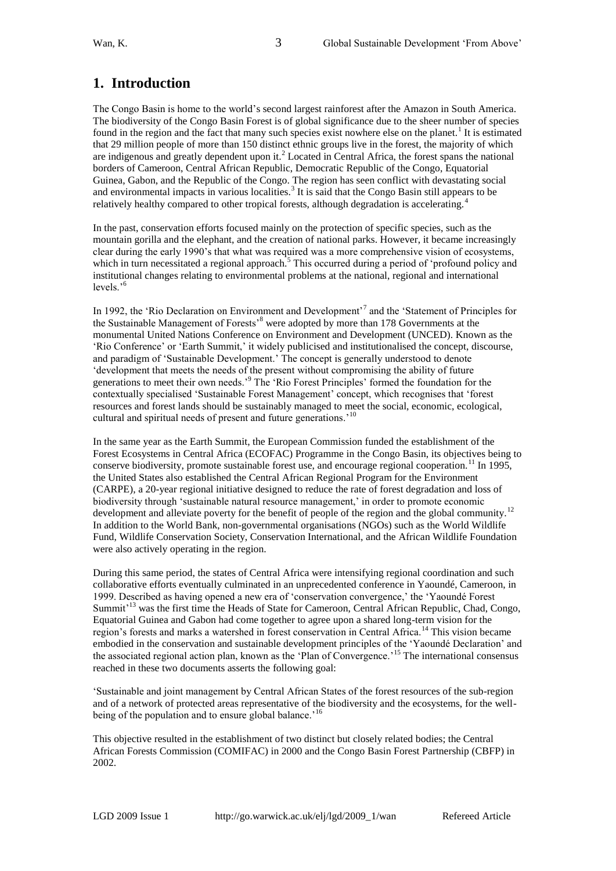# **1. Introduction**

The Congo Basin is home to the world's second largest rainforest after the Amazon in South America. The biodiversity of the Congo Basin Forest is of global significance due to the sheer number of species found in the region and the fact that many such species exist nowhere else on the planet.<sup>1</sup> It is estimated that 29 million people of more than 150 distinct ethnic groups live in the forest, the majority of which are indigenous and greatly dependent upon it.<sup>2</sup> Located in Central Africa, the forest spans the national borders of Cameroon, Central African Republic, Democratic Republic of the Congo, Equatorial Guinea, Gabon, and the Republic of the Congo. The region has seen conflict with devastating social and environmental impacts in various localities.<sup>3</sup> It is said that the Congo Basin still appears to be relatively healthy compared to other tropical forests, although degradation is accelerating.<sup>4</sup>

In the past, conservation efforts focused mainly on the protection of specific species, such as the mountain gorilla and the elephant, and the creation of national parks. However, it became increasingly clear during the early 1990's that what was required was a more comprehensive vision of ecosystems, which in turn necessitated a regional approach.<sup>5</sup> This occurred during a period of 'profound policy and institutional changes relating to environmental problems at the national, regional and international levels.'<sup>6</sup>

In 1992, the 'Rio Declaration on Environment and Development'<sup>7</sup> and the 'Statement of Principles for the Sustainable Management of Forests<sup>38</sup> were adopted by more than 178 Governments at the monumental United Nations Conference on Environment and Development (UNCED). Known as the ‗Rio Conference' or ‗Earth Summit,' it widely publicised and institutionalised the concept, discourse, and paradigm of 'Sustainable Development.' The concept is generally understood to denote ‗development that meets the needs of the present without compromising the ability of future generations to meet their own needs.'<sup>9</sup> The 'Rio Forest Principles' formed the foundation for the contextually specialised 'Sustainable Forest Management' concept, which recognises that 'forest resources and forest lands should be sustainably managed to meet the social, economic, ecological, cultural and spiritual needs of present and future generations.'<sup>10</sup>

In the same year as the Earth Summit, the European Commission funded the establishment of the Forest Ecosystems in Central Africa (ECOFAC) Programme in the Congo Basin, its objectives being to conserve biodiversity, promote sustainable forest use, and encourage regional cooperation.<sup>11</sup> In 1995, the United States also established the Central African Regional Program for the Environment (CARPE), a 20-year regional initiative designed to reduce the rate of forest degradation and loss of biodiversity through 'sustainable natural resource management,' in order to promote economic development and alleviate poverty for the benefit of people of the region and the global community.<sup>12</sup> In addition to the World Bank, non-governmental organisations (NGOs) such as the World Wildlife Fund, Wildlife Conservation Society, Conservation International, and the African Wildlife Foundation were also actively operating in the region.

During this same period, the states of Central Africa were intensifying regional coordination and such collaborative efforts eventually culminated in an unprecedented conference in Yaoundé, Cameroon, in 1999. Described as having opened a new era of ‗conservation convergence,' the ‗Yaoundé Forest Summit<sup>'13</sup> was the first time the Heads of State for Cameroon, Central African Republic, Chad, Congo, Equatorial Guinea and Gabon had come together to agree upon a shared long-term vision for the region's forests and marks a watershed in forest conservation in Central Africa.<sup>14</sup> This vision became embodied in the conservation and sustainable development principles of the 'Yaoundé Declaration' and the associated regional action plan, known as the 'Plan of Convergence.'<sup>15</sup> The international consensus reached in these two documents asserts the following goal:

‗Sustainable and joint management by Central African States of the forest resources of the sub-region and of a network of protected areas representative of the biodiversity and the ecosystems, for the wellbeing of the population and to ensure global balance.<sup>'16</sup>

This objective resulted in the establishment of two distinct but closely related bodies; the Central African Forests Commission (COMIFAC) in 2000 and the Congo Basin Forest Partnership (CBFP) in 2002.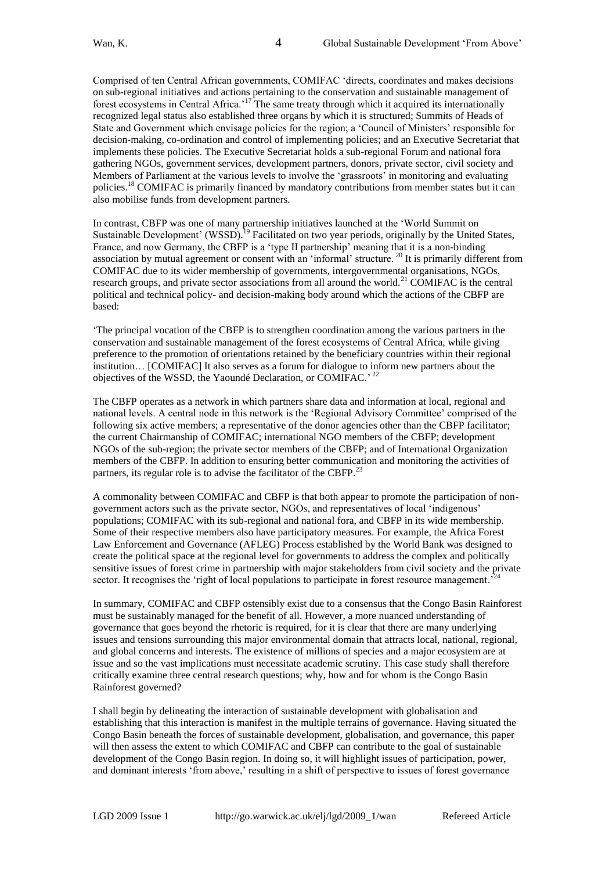Comprised of ten Central African governments, COMIFAC ‗directs, coordinates and makes decisions on sub-regional initiatives and actions pertaining to the conservation and sustainable management of forest ecosystems in Central Africa.'<sup>17</sup> The same treaty through which it acquired its internationally recognized legal status also established three organs by which it is structured; Summits of Heads of State and Government which envisage policies for the region; a ‗Council of Ministers' responsible for decision-making, co-ordination and control of implementing policies; and an Executive Secretariat that implements these policies. The Executive Secretariat holds a sub-regional Forum and national fora gathering NGOs, government services, development partners, donors, private sector, civil society and Members of Parliament at the various levels to involve the 'grassroots' in monitoring and evaluating policies.<sup>18</sup> COMIFAC is primarily financed by mandatory contributions from member states but it can also mobilise funds from development partners.

In contrast, CBFP was one of many partnership initiatives launched at the 'World Summit on Sustainable Development' (WSSD).<sup>19</sup> Facilitated on two year periods, originally by the United States, France, and now Germany, the CBFP is a 'type II partnership' meaning that it is a non-binding association by mutual agreement or consent with an 'informal' structure. <sup>20</sup> It is primarily different from COMIFAC due to its wider membership of governments, intergovernmental organisations, NGOs, research groups, and private sector associations from all around the world.<sup>21</sup> COMIFAC is the central political and technical policy- and decision-making body around which the actions of the CBFP are based:

‗The principal vocation of the CBFP is to strengthen coordination among the various partners in the conservation and sustainable management of the forest ecosystems of Central Africa, while giving preference to the promotion of orientations retained by the beneficiary countries within their regional institution… [COMIFAC] It also serves as a forum for dialogue to inform new partners about the objectives of the WSSD, the Yaoundé Declaration, or COMIFAC.'<sup>22</sup>

The CBFP operates as a network in which partners share data and information at local, regional and national levels. A central node in this network is the 'Regional Advisory Committee' comprised of the following six active members; a representative of the donor agencies other than the CBFP facilitator; the current Chairmanship of COMIFAC; international NGO members of the CBFP; development NGOs of the sub-region; the private sector members of the CBFP; and of International Organization members of the CBFP. In addition to ensuring better communication and monitoring the activities of partners, its regular role is to advise the facilitator of the CBFP.<sup>23</sup>

A commonality between COMIFAC and CBFP is that both appear to promote the participation of nongovernment actors such as the private sector, NGOs, and representatives of local ‗indigenous' populations; COMIFAC with its sub-regional and national fora, and CBFP in its wide membership. Some of their respective members also have participatory measures. For example, the Africa Forest Law Enforcement and Governance (AFLEG) Process established by the World Bank was designed to create the political space at the regional level for governments to address the complex and politically sensitive issues of forest crime in partnership with major stakeholders from civil society and the private sector. It recognises the 'right of local populations to participate in forest resource management.<sup>2</sup>

In summary, COMIFAC and CBFP ostensibly exist due to a consensus that the Congo Basin Rainforest must be sustainably managed for the benefit of all. However, a more nuanced understanding of governance that goes beyond the rhetoric is required, for it is clear that there are many underlying issues and tensions surrounding this major environmental domain that attracts local, national, regional, and global concerns and interests. The existence of millions of species and a major ecosystem are at issue and so the vast implications must necessitate academic scrutiny. This case study shall therefore critically examine three central research questions; why, how and for whom is the Congo Basin Rainforest governed?

I shall begin by delineating the interaction of sustainable development with globalisation and establishing that this interaction is manifest in the multiple terrains of governance. Having situated the Congo Basin beneath the forces of sustainable development, globalisation, and governance, this paper will then assess the extent to which COMIFAC and CBFP can contribute to the goal of sustainable development of the Congo Basin region. In doing so, it will highlight issues of participation, power, and dominant interests 'from above,' resulting in a shift of perspective to issues of forest governance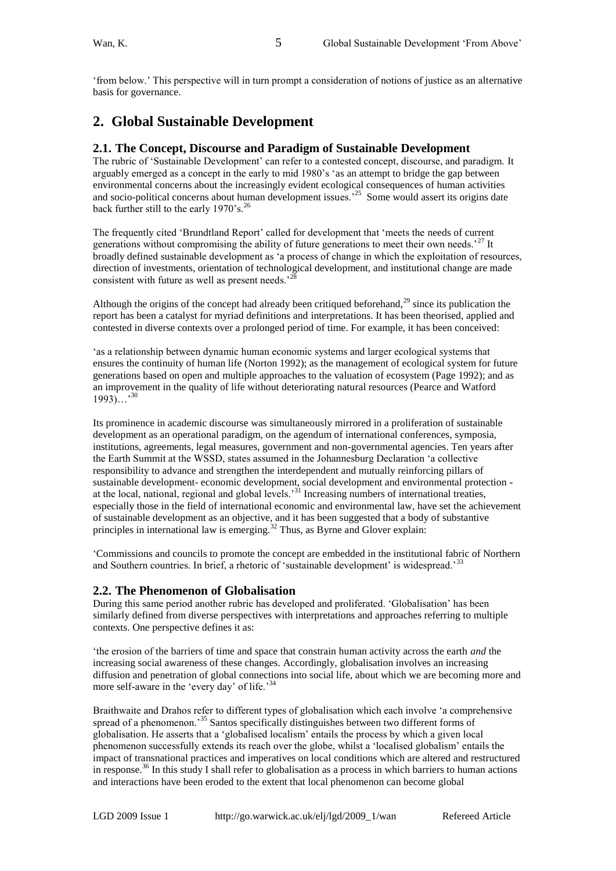‗from below.' This perspective will in turn prompt a consideration of notions of justice as an alternative basis for governance.

### **2. Global Sustainable Development**

### **2.1. The Concept, Discourse and Paradigm of Sustainable Development**

The rubric of ‗Sustainable Development' can refer to a contested concept, discourse, and paradigm. It arguably emerged as a concept in the early to mid 1980's 'as an attempt to bridge the gap between environmental concerns about the increasingly evident ecological consequences of human activities and socio-political concerns about human development issues.<sup>25</sup> Some would assert its origins date back further still to the early 1970's.<sup>26</sup>

The frequently cited 'Brundtland Report' called for development that 'meets the needs of current generations without compromising the ability of future generations to meet their own needs.<sup>27</sup> It broadly defined sustainable development as 'a process of change in which the exploitation of resources, direction of investments, orientation of technological development, and institutional change are made consistent with future as well as present needs. $^{22}$ 

Although the origins of the concept had already been critiqued beforehand,<sup>29</sup> since its publication the report has been a catalyst for myriad definitions and interpretations. It has been theorised, applied and contested in diverse contexts over a prolonged period of time. For example, it has been conceived:

‗as a relationship between dynamic human economic systems and larger ecological systems that ensures the continuity of human life (Norton 1992); as the management of ecological system for future generations based on open and multiple approaches to the valuation of ecosystem (Page 1992); and as an improvement in the quality of life without deteriorating natural resources (Pearce and Watford  $1993)$ ...<sup>30</sup>

Its prominence in academic discourse was simultaneously mirrored in a proliferation of sustainable development as an operational paradigm, on the agendum of international conferences, symposia, institutions, agreements, legal measures, government and non-governmental agencies. Ten years after the Earth Summit at the WSSD, states assumed in the Johannesburg Declaration 'a collective responsibility to advance and strengthen the interdependent and mutually reinforcing pillars of sustainable development- economic development, social development and environmental protection at the local, national, regional and global levels.<sup>31</sup> Increasing numbers of international treaties, especially those in the field of international economic and environmental law, have set the achievement of sustainable development as an objective, and it has been suggested that a body of substantive principles in international law is emerging.<sup>32</sup> Thus, as Byrne and Glover explain:

‗Commissions and councils to promote the concept are embedded in the institutional fabric of Northern and Southern countries. In brief, a rhetoric of 'sustainable development' is widespread.<sup>33</sup>

### **2.2. The Phenomenon of Globalisation**

During this same period another rubric has developed and proliferated. 'Globalisation' has been similarly defined from diverse perspectives with interpretations and approaches referring to multiple contexts. One perspective defines it as:

‗the erosion of the barriers of time and space that constrain human activity across the earth *and* the increasing social awareness of these changes. Accordingly, globalisation involves an increasing diffusion and penetration of global connections into social life, about which we are becoming more and more self-aware in the 'every day' of life.<sup>34</sup>

Braithwaite and Drahos refer to different types of globalisation which each involve 'a comprehensive spread of a phenomenon.<sup>35</sup> Santos specifically distinguishes between two different forms of globalisation. He asserts that a ‗globalised localism' entails the process by which a given local phenomenon successfully extends its reach over the globe, whilst a ‗localised globalism' entails the impact of transnational practices and imperatives on local conditions which are altered and restructured in response.<sup>36</sup> In this study I shall refer to globalisation as a process in which barriers to human actions and interactions have been eroded to the extent that local phenomenon can become global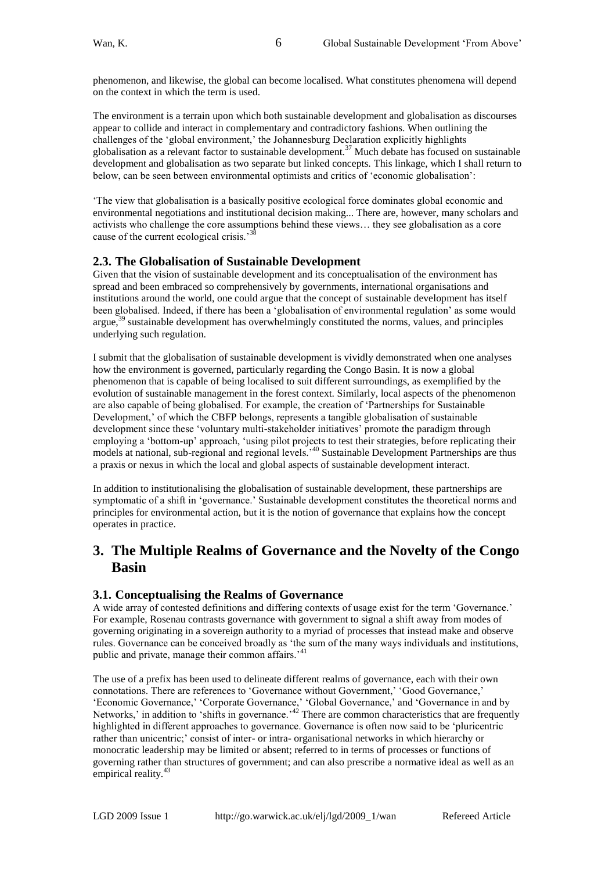phenomenon, and likewise, the global can become localised. What constitutes phenomena will depend on the context in which the term is used.

The environment is a terrain upon which both sustainable development and globalisation as discourses appear to collide and interact in complementary and contradictory fashions. When outlining the challenges of the 'global environment,' the Johannesburg Declaration explicitly highlights globalisation as a relevant factor to sustainable development.<sup>37</sup> Much debate has focused on sustainable development and globalisation as two separate but linked concepts. This linkage, which I shall return to below, can be seen between environmental optimists and critics of 'economic globalisation':

‗The view that globalisation is a basically positive ecological force dominates global economic and environmental negotiations and institutional decision making... There are, however, many scholars and activists who challenge the core assumptions behind these views… they see globalisation as a core cause of the current ecological crisis.<sup>38</sup>

### **2.3. The Globalisation of Sustainable Development**

Given that the vision of sustainable development and its conceptualisation of the environment has spread and been embraced so comprehensively by governments, international organisations and institutions around the world, one could argue that the concept of sustainable development has itself been globalised. Indeed, if there has been a 'globalisation of environmental regulation' as some would argue, $39$  sustainable development has overwhelmingly constituted the norms, values, and principles underlying such regulation.

I submit that the globalisation of sustainable development is vividly demonstrated when one analyses how the environment is governed, particularly regarding the Congo Basin. It is now a global phenomenon that is capable of being localised to suit different surroundings, as exemplified by the evolution of sustainable management in the forest context. Similarly, local aspects of the phenomenon are also capable of being globalised. For example, the creation of 'Partnerships for Sustainable Development,' of which the CBFP belongs, represents a tangible globalisation of sustainable development since these 'voluntary multi-stakeholder initiatives' promote the paradigm through employing a 'bottom-up' approach, 'using pilot projects to test their strategies, before replicating their emproying a content up upprousing analysis of the them subsequent Partnerships are thus models at national, sub-regional and regional levels.<sup>40</sup> Sustainable Development Partnerships are thus a praxis or nexus in which the local and global aspects of sustainable development interact.

In addition to institutionalising the globalisation of sustainable development, these partnerships are symptomatic of a shift in 'governance.' Sustainable development constitutes the theoretical norms and principles for environmental action, but it is the notion of governance that explains how the concept operates in practice.

# **3. The Multiple Realms of Governance and the Novelty of the Congo Basin**

### **3.1. Conceptualising the Realms of Governance**

A wide array of contested definitions and differing contexts of usage exist for the term 'Governance.' For example, Rosenau contrasts governance with government to signal a shift away from modes of governing originating in a sovereign authority to a myriad of processes that instead make and observe rules. Governance can be conceived broadly as 'the sum of the many ways individuals and institutions, public and private, manage their common affairs.<sup>'41</sup>

The use of a prefix has been used to delineate different realms of governance, each with their own connotations. There are references to 'Governance without Government,' 'Good Governance,' ‗Economic Governance,' ‗Corporate Governance,' ‗Global Governance,' and ‗Governance in and by Networks,' in addition to 'shifts in governance.<sup> $32$ </sup> There are common characteristics that are frequently highlighted in different approaches to governance. Governance is often now said to be 'pluricentric rather than unicentric;' consist of inter- or intra- organisational networks in which hierarchy or monocratic leadership may be limited or absent; referred to in terms of processes or functions of governing rather than structures of government; and can also prescribe a normative ideal as well as an empirical reality.<sup>43</sup>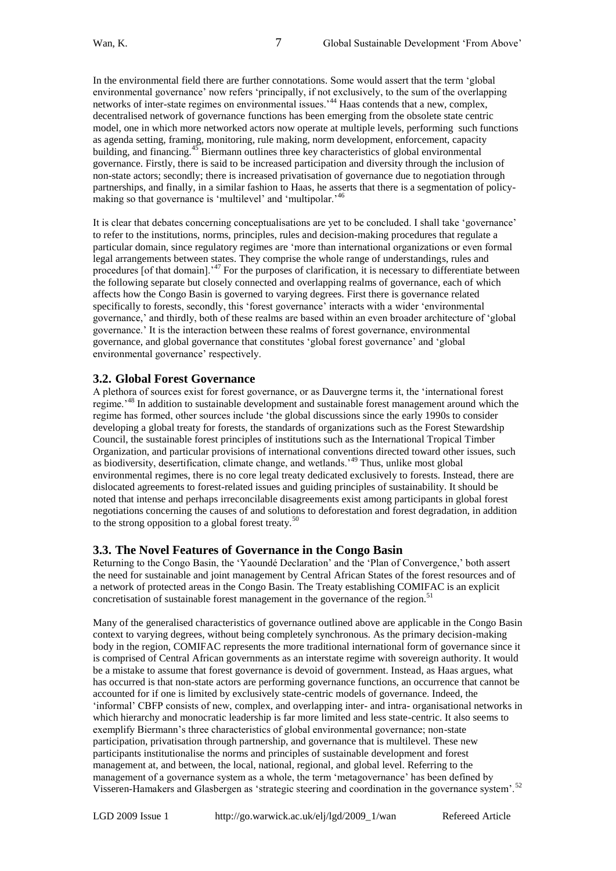In the environmental field there are further connotations. Some would assert that the term 'global environmental governance' now refers 'principally, if not exclusively, to the sum of the overlapping networks of inter-state regimes on environmental issues.<sup>344</sup> Haas contends that a new, complex, decentralised network of governance functions has been emerging from the obsolete state centric model, one in which more networked actors now operate at multiple levels, performing such functions as agenda setting, framing, monitoring, rule making, norm development, enforcement, capacity building, and financing.<sup>45</sup> Biermann outlines three key characteristics of global environmental governance. Firstly, there is said to be increased participation and diversity through the inclusion of non-state actors; secondly; there is increased privatisation of governance due to negotiation through partnerships, and finally, in a similar fashion to Haas, he asserts that there is a segmentation of policymaking so that governance is 'multilevel' and 'multipolar.'<sup>46</sup>

It is clear that debates concerning conceptualisations are yet to be concluded. I shall take ‗governance' to refer to the institutions, norms, principles, rules and decision-making procedures that regulate a particular domain, since regulatory regimes are ‗more than international organizations or even formal legal arrangements between states. They comprise the whole range of understandings, rules and procedures [of that domain].'<sup>47</sup> For the purposes of clarification, it is necessary to differentiate between the following separate but closely connected and overlapping realms of governance, each of which affects how the Congo Basin is governed to varying degrees. First there is governance related specifically to forests, secondly, this 'forest governance' interacts with a wider 'environmental governance,' and thirdly, both of these realms are based within an even broader architecture of ‗global governance.' It is the interaction between these realms of forest governance, environmental governance, and global governance that constitutes ‗global forest governance' and ‗global environmental governance' respectively.

### **3.2. Global Forest Governance**

A plethora of sources exist for forest governance, or as Dauvergne terms it, the 'international forest regime.<sup>48</sup> In addition to sustainable development and sustainable forest management around which the regime has formed, other sources include 'the global discussions since the early 1990s to consider developing a global treaty for forests, the standards of organizations such as the Forest Stewardship Council, the sustainable forest principles of institutions such as the International Tropical Timber Organization, and particular provisions of international conventions directed toward other issues, such as biodiversity, desertification, climate change, and wetlands.'<sup>49</sup> Thus, unlike most global environmental regimes, there is no core legal treaty dedicated exclusively to forests. Instead, there are dislocated agreements to forest-related issues and guiding principles of sustainability. It should be noted that intense and perhaps irreconcilable disagreements exist among participants in global forest negotiations concerning the causes of and solutions to deforestation and forest degradation, in addition to the strong opposition to a global forest treaty.<sup>50</sup>

### **3.3. The Novel Features of Governance in the Congo Basin**

Returning to the Congo Basin, the 'Yaoundé Declaration' and the 'Plan of Convergence,' both assert the need for sustainable and joint management by Central African States of the forest resources and of a network of protected areas in the Congo Basin. The Treaty establishing COMIFAC is an explicit concretisation of sustainable forest management in the governance of the region.<sup>5</sup>

Many of the generalised characteristics of governance outlined above are applicable in the Congo Basin context to varying degrees, without being completely synchronous. As the primary decision-making body in the region, COMIFAC represents the more traditional international form of governance since it is comprised of Central African governments as an interstate regime with sovereign authority. It would be a mistake to assume that forest governance is devoid of government. Instead, as Haas argues, what has occurred is that non-state actors are performing governance functions, an occurrence that cannot be accounted for if one is limited by exclusively state-centric models of governance. Indeed, the ‗informal' CBFP consists of new, complex, and overlapping inter- and intra- organisational networks in which hierarchy and monocratic leadership is far more limited and less state-centric. It also seems to exemplify Biermann's three characteristics of global environmental governance; non-state participation, privatisation through partnership, and governance that is multilevel. These new participants institutionalise the norms and principles of sustainable development and forest management at, and between, the local, national, regional, and global level. Referring to the management of a governance system as a whole, the term 'metagovernance' has been defined by Visseren-Hamakers and Glasbergen as 'strategic steering and coordination in the governance system'.<sup>52</sup>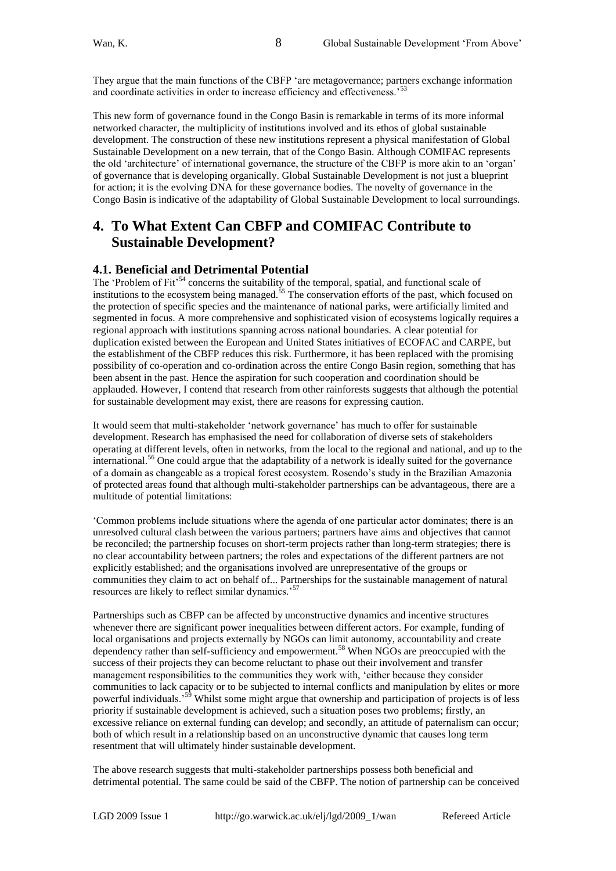They argue that the main functions of the CBFP ‗are metagovernance; partners exchange information and coordinate activities in order to increase efficiency and effectiveness.'<sup>53</sup>

This new form of governance found in the Congo Basin is remarkable in terms of its more informal networked character, the multiplicity of institutions involved and its ethos of global sustainable development. The construction of these new institutions represent a physical manifestation of Global Sustainable Development on a new terrain, that of the Congo Basin. Although COMIFAC represents the old 'architecture' of international governance, the structure of the CBFP is more akin to an 'organ' of governance that is developing organically. Global Sustainable Development is not just a blueprint for action; it is the evolving DNA for these governance bodies. The novelty of governance in the Congo Basin is indicative of the adaptability of Global Sustainable Development to local surroundings.

# **4. To What Extent Can CBFP and COMIFAC Contribute to Sustainable Development?**

### **4.1. Beneficial and Detrimental Potential**

The 'Problem of Fit'<sup>54</sup> concerns the suitability of the temporal, spatial, and functional scale of institutions to the ecosystem being managed.<sup>55</sup> The conservation efforts of the past, which focused on the protection of specific species and the maintenance of national parks, were artificially limited and segmented in focus. A more comprehensive and sophisticated vision of ecosystems logically requires a regional approach with institutions spanning across national boundaries. A clear potential for duplication existed between the European and United States initiatives of ECOFAC and CARPE, but the establishment of the CBFP reduces this risk. Furthermore, it has been replaced with the promising possibility of co-operation and co-ordination across the entire Congo Basin region, something that has been absent in the past. Hence the aspiration for such cooperation and coordination should be applauded. However, I contend that research from other rainforests suggests that although the potential for sustainable development may exist, there are reasons for expressing caution.

It would seem that multi-stakeholder 'network governance' has much to offer for sustainable development. Research has emphasised the need for collaboration of diverse sets of stakeholders operating at different levels, often in networks, from the local to the regional and national, and up to the international.<sup>56</sup> One could argue that the adaptability of a network is ideally suited for the governance of a domain as changeable as a tropical forest ecosystem. Rosendo's study in the Brazilian Amazonia of protected areas found that although multi-stakeholder partnerships can be advantageous, there are a multitude of potential limitations:

‗Common problems include situations where the agenda of one particular actor dominates; there is an unresolved cultural clash between the various partners; partners have aims and objectives that cannot be reconciled; the partnership focuses on short-term projects rather than long-term strategies; there is no clear accountability between partners; the roles and expectations of the different partners are not explicitly established; and the organisations involved are unrepresentative of the groups or communities they claim to act on behalf of... Partnerships for the sustainable management of natural resources are likely to reflect similar dynamics.'<sup>57</sup>

Partnerships such as CBFP can be affected by unconstructive dynamics and incentive structures whenever there are significant power inequalities between different actors. For example, funding of local organisations and projects externally by NGOs can limit autonomy, accountability and create dependency rather than self-sufficiency and empowerment.<sup>58</sup> When NGOs are preoccupied with the success of their projects they can become reluctant to phase out their involvement and transfer management responsibilities to the communities they work with, 'either because they consider communities to lack capacity or to be subjected to internal conflicts and manipulation by elites or more powerful individuals.'<sup>59</sup> Whilst some might argue that ownership and participation of projects is of less priority if sustainable development is achieved, such a situation poses two problems; firstly, an excessive reliance on external funding can develop; and secondly, an attitude of paternalism can occur; both of which result in a relationship based on an unconstructive dynamic that causes long term resentment that will ultimately hinder sustainable development.

The above research suggests that multi-stakeholder partnerships possess both beneficial and detrimental potential. The same could be said of the CBFP. The notion of partnership can be conceived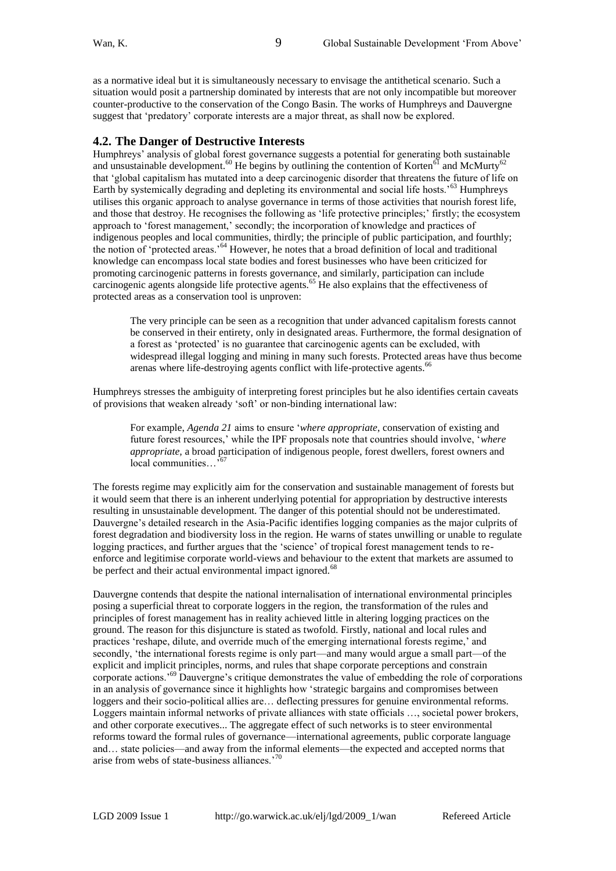as a normative ideal but it is simultaneously necessary to envisage the antithetical scenario. Such a situation would posit a partnership dominated by interests that are not only incompatible but moreover counter-productive to the conservation of the Congo Basin. The works of Humphreys and Dauvergne suggest that 'predatory' corporate interests are a major threat, as shall now be explored.

### **4.2. The Danger of Destructive Interests**

Humphreys' analysis of global forest governance suggests a potential for generating both sustainable and unsustainable development.<sup>60</sup> He begins by outlining the contention of Korten<sup>61</sup> and McMurty<sup>62</sup> that ‗global capitalism has mutated into a deep carcinogenic disorder that threatens the future of life on Earth by systemically degrading and depleting its environmental and social life hosts.'<sup>63</sup> Humphreys utilises this organic approach to analyse governance in terms of those activities that nourish forest life, and those that destroy. He recognises the following as 'life protective principles;' firstly; the ecosystem approach to 'forest management,' secondly; the incorporation of knowledge and practices of indigenous peoples and local communities, thirdly; the principle of public participation, and fourthly; the notion of 'protected areas.'<sup>64</sup> However, he notes that a broad definition of local and traditional knowledge can encompass local state bodies and forest businesses who have been criticized for promoting carcinogenic patterns in forests governance, and similarly, participation can include carcinogenic agents alongside life protective agents.<sup>65</sup> He also explains that the effectiveness of protected areas as a conservation tool is unproven:

The very principle can be seen as a recognition that under advanced capitalism forests cannot be conserved in their entirety, only in designated areas. Furthermore, the formal designation of a forest as 'protected' is no guarantee that carcinogenic agents can be excluded, with widespread illegal logging and mining in many such forests. Protected areas have thus become arenas where life-destroying agents conflict with life-protective agents.<sup>66</sup>

Humphreys stresses the ambiguity of interpreting forest principles but he also identifies certain caveats of provisions that weaken already ‗soft' or non-binding international law:

For example, *Agenda 21* aims to ensure 'where appropriate, conservation of existing and future forest resources,' while the IPF proposals note that countries should involve, 'where *appropriate,* a broad participation of indigenous people, forest dwellers, forest owners and local communities...<sup>567</sup>

The forests regime may explicitly aim for the conservation and sustainable management of forests but it would seem that there is an inherent underlying potential for appropriation by destructive interests resulting in unsustainable development. The danger of this potential should not be underestimated. Dauvergne's detailed research in the Asia-Pacific identifies logging companies as the major culprits of forest degradation and biodiversity loss in the region. He warns of states unwilling or unable to regulate logging practices, and further argues that the 'science' of tropical forest management tends to reenforce and legitimise corporate world-views and behaviour to the extent that markets are assumed to be perfect and their actual environmental impact ignored.<sup>68</sup>

Dauvergne contends that despite the national internalisation of international environmental principles posing a superficial threat to corporate loggers in the region, the transformation of the rules and principles of forest management has in reality achieved little in altering logging practices on the ground. The reason for this disjuncture is stated as twofold. Firstly, national and local rules and practices ‗reshape, dilute, and override much of the emerging international forests regime,' and secondly, 'the international forests regime is only part—and many would argue a small part—of the explicit and implicit principles, norms, and rules that shape corporate perceptions and constrain corporate actions.'<sup>69</sup> Dauvergne's critique demonstrates the value of embedding the role of corporations in an analysis of governance since it highlights how 'strategic bargains and compromises between loggers and their socio-political allies are… deflecting pressures for genuine environmental reforms. Loggers maintain informal networks of private alliances with state officials …, societal power brokers, and other corporate executives... The aggregate effect of such networks is to steer environmental reforms toward the formal rules of governance—international agreements, public corporate language and… state policies—and away from the informal elements—the expected and accepted norms that arise from webs of state-business alliances.'<sup>70</sup>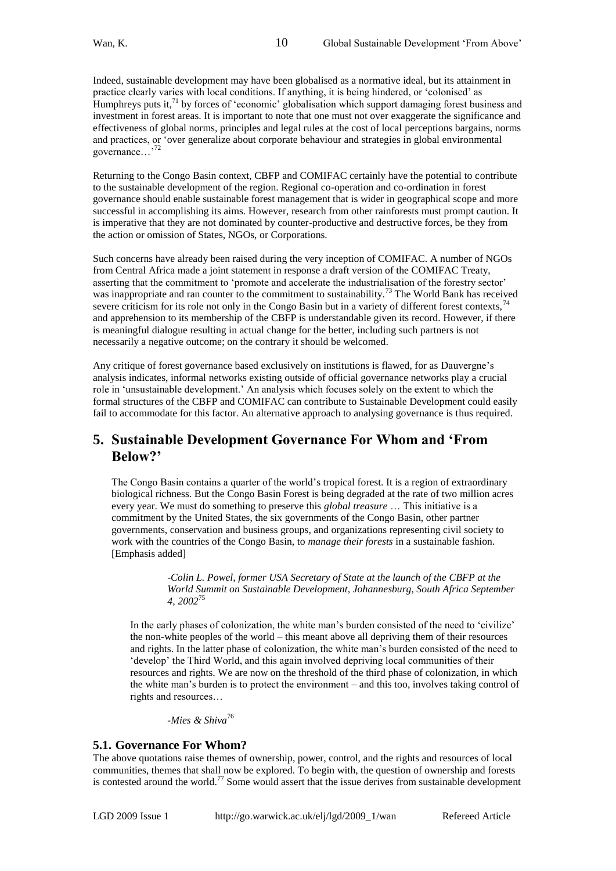Indeed, sustainable development may have been globalised as a normative ideal, but its attainment in practice clearly varies with local conditions. If anything, it is being hindered, or ‗colonised' as Humphreys puts it,<sup>71</sup> by forces of 'economic' globalisation which support damaging forest business and investment in forest areas. It is important to note that one must not over exaggerate the significance and effectiveness of global norms, principles and legal rules at the cost of local perceptions bargains, norms and practices, or 'over generalize about corporate behaviour and strategies in global environmental governance...<sup>3</sup>

10

Returning to the Congo Basin context, CBFP and COMIFAC certainly have the potential to contribute to the sustainable development of the region. Regional co-operation and co-ordination in forest governance should enable sustainable forest management that is wider in geographical scope and more successful in accomplishing its aims. However, research from other rainforests must prompt caution. It is imperative that they are not dominated by counter-productive and destructive forces, be they from the action or omission of States, NGOs, or Corporations.

Such concerns have already been raised during the very inception of COMIFAC. A number of NGOs from Central Africa made a joint statement in response a draft version of the COMIFAC Treaty, asserting that the commitment to 'promote and accelerate the industrialisation of the forestry sector' was inappropriate and ran counter to the commitment to sustainability.<sup>73</sup> The World Bank has received severe criticism for its role not only in the Congo Basin but in a variety of different forest contexts,  $74$ and apprehension to its membership of the CBFP is understandable given its record. However, if there is meaningful dialogue resulting in actual change for the better, including such partners is not necessarily a negative outcome; on the contrary it should be welcomed.

Any critique of forest governance based exclusively on institutions is flawed, for as Dauvergne's analysis indicates, informal networks existing outside of official governance networks play a crucial role in ‗unsustainable development.' An analysis which focuses solely on the extent to which the formal structures of the CBFP and COMIFAC can contribute to Sustainable Development could easily fail to accommodate for this factor. An alternative approach to analysing governance is thus required.

### **5. Sustainable Development Governance For Whom and 'From Below?'**

The Congo Basin contains a quarter of the world's tropical forest. It is a region of extraordinary biological richness. But the Congo Basin Forest is being degraded at the rate of two million acres every year. We must do something to preserve this *global treasure* … This initiative is a commitment by the United States, the six governments of the Congo Basin, other partner governments, conservation and business groups, and organizations representing civil society to work with the countries of the Congo Basin, to *manage their forests* in a sustainable fashion. [Emphasis added]

> -*Colin L. Powel, former USA Secretary of State at the launch of the CBFP at the World Summit on Sustainable Development, Johannesburg, South Africa September 4, 2002*<sup>75</sup>

In the early phases of colonization, the white man's burden consisted of the need to 'civilize' the non-white peoples of the world – this meant above all depriving them of their resources and rights. In the latter phase of colonization, the white man's burden consisted of the need to ‗develop' the Third World, and this again involved depriving local communities of their resources and rights. We are now on the threshold of the third phase of colonization, in which the white man's burden is to protect the environment – and this too, involves taking control of rights and resources…

*-Mies & Shiva*<sup>76</sup>

### **5.1. Governance For Whom?**

The above quotations raise themes of ownership, power, control, and the rights and resources of local communities, themes that shall now be explored. To begin with, the question of ownership and forests is contested around the world.<sup>77</sup> Some would assert that the issue derives from sustainable development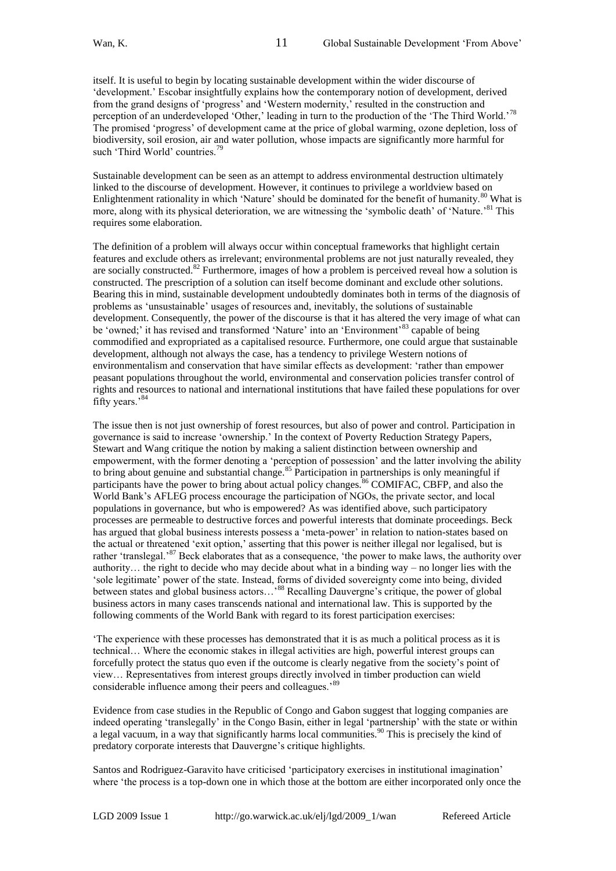itself. It is useful to begin by locating sustainable development within the wider discourse of ‗development.' Escobar insightfully explains how the contemporary notion of development, derived from the grand designs of 'progress' and 'Western modernity,' resulted in the construction and perception of an underdeveloped 'Other,' leading in turn to the production of the 'The Third World.'<sup>78</sup> The promised 'progress' of development came at the price of global warming, ozone depletion, loss of biodiversity, soil erosion, air and water pollution, whose impacts are significantly more harmful for such 'Third World' countries.<sup>7</sup>

Sustainable development can be seen as an attempt to address environmental destruction ultimately linked to the discourse of development. However, it continues to privilege a worldview based on Enlightenment rationality in which 'Nature' should be dominated for the benefit of humanity.<sup>80</sup> What is more, along with its physical deterioration, we are witnessing the 'symbolic death' of 'Nature.'<sup>81</sup> This requires some elaboration.

The definition of a problem will always occur within conceptual frameworks that highlight certain features and exclude others as irrelevant; environmental problems are not just naturally revealed, they are socially constructed.<sup>82</sup> Furthermore, images of how a problem is perceived reveal how a solution is constructed. The prescription of a solution can itself become dominant and exclude other solutions. Bearing this in mind, sustainable development undoubtedly dominates both in terms of the diagnosis of problems as ‗unsustainable' usages of resources and, inevitably, the solutions of sustainable development. Consequently, the power of the discourse is that it has altered the very image of what can be 'owned;' it has revised and transformed 'Nature' into an 'Environment'<sup>83</sup> capable of being commodified and expropriated as a capitalised resource. Furthermore, one could argue that sustainable development, although not always the case, has a tendency to privilege Western notions of environmentalism and conservation that have similar effects as development: ‗rather than empower peasant populations throughout the world, environmental and conservation policies transfer control of rights and resources to national and international institutions that have failed these populations for over fifty years.'<sup>84</sup>

The issue then is not just ownership of forest resources, but also of power and control. Participation in governance is said to increase 'ownership.' In the context of Poverty Reduction Strategy Papers, Stewart and Wang critique the notion by making a salient distinction between ownership and empowerment, with the former denoting a 'perception of possession' and the latter involving the ability to bring about genuine and substantial change.<sup>85</sup> Participation in partnerships is only meaningful if participants have the power to bring about actual policy changes.<sup>86</sup> COMIFAC, CBFP, and also the World Bank's AFLEG process encourage the participation of NGOs, the private sector, and local populations in governance, but who is empowered? As was identified above, such participatory processes are permeable to destructive forces and powerful interests that dominate proceedings. Beck has argued that global business interests possess a 'meta-power' in relation to nation-states based on the actual or threatened ‗exit option,' asserting that this power is neither illegal nor legalised, but is rather 'translegal.'<sup>87</sup> Beck elaborates that as a consequence, 'the power to make laws, the authority over authority… the right to decide who may decide about what in a binding way – no longer lies with the ‗sole legitimate' power of the state. Instead, forms of divided sovereignty come into being, divided between states and global business actors...<sup>88</sup> Recalling Dauvergne's critique, the power of global business actors in many cases transcends national and international law. This is supported by the following comments of the World Bank with regard to its forest participation exercises:

‗The experience with these processes has demonstrated that it is as much a political process as it is technical… Where the economic stakes in illegal activities are high, powerful interest groups can forcefully protect the status quo even if the outcome is clearly negative from the society's point of view… Representatives from interest groups directly involved in timber production can wield considerable influence among their peers and colleagues.<sup>89</sup>

Evidence from case studies in the Republic of Congo and Gabon suggest that logging companies are indeed operating 'translegally' in the Congo Basin, either in legal 'partnership' with the state or within a legal vacuum, in a way that significantly harms local communities.<sup>90</sup> This is precisely the kind of predatory corporate interests that Dauvergne's critique highlights.

Santos and Rodriguez-Garavito have criticised 'participatory exercises in institutional imagination' where 'the process is a top-down one in which those at the bottom are either incorporated only once the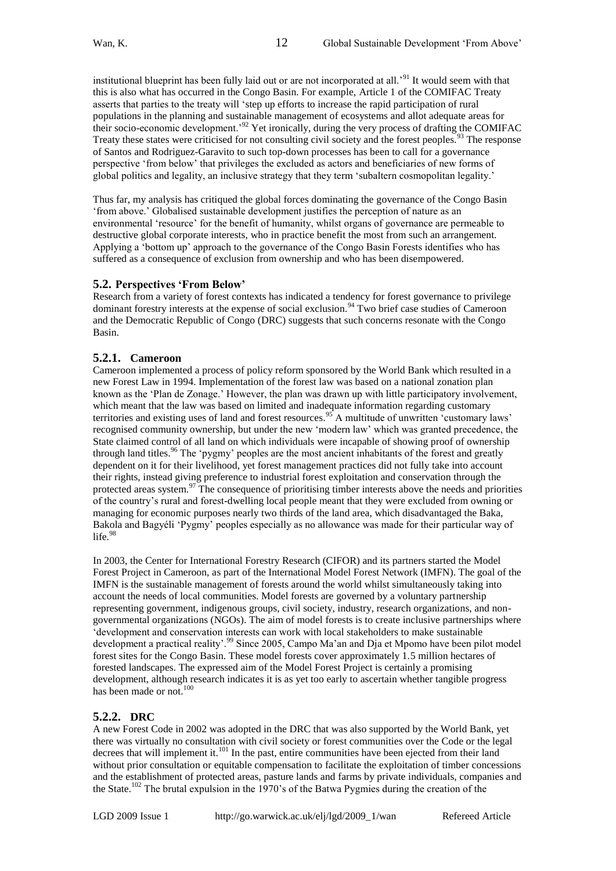institutional blueprint has been fully laid out or are not incorporated at all.'<sup>91</sup> It would seem with that this is also what has occurred in the Congo Basin. For example, Article 1 of the COMIFAC Treaty asserts that parties to the treaty will 'step up efforts to increase the rapid participation of rural populations in the planning and sustainable management of ecosystems and allot adequate areas for their socio-economic development.<sup>92</sup> Yet ironically, during the very process of drafting the COMIFAC Treaty these states were criticised for not consulting civil society and the forest peoples.<sup>93</sup> The response of Santos and Rodriguez-Garavito to such top-down processes has been to call for a governance perspective ‗from below' that privileges the excluded as actors and beneficiaries of new forms of global politics and legality, an inclusive strategy that they term 'subaltern cosmopolitan legality.'

Thus far, my analysis has critiqued the global forces dominating the governance of the Congo Basin ‗from above.' Globalised sustainable development justifies the perception of nature as an environmental ‗resource' for the benefit of humanity, whilst organs of governance are permeable to destructive global corporate interests, who in practice benefit the most from such an arrangement. Applying a ‗bottom up' approach to the governance of the Congo Basin Forests identifies who has suffered as a consequence of exclusion from ownership and who has been disempowered.

### **5.2. Perspectives 'From Below'**

Research from a variety of forest contexts has indicated a tendency for forest governance to privilege dominant forestry interests at the expense of social exclusion.<sup>94</sup> Two brief case studies of Cameroon and the Democratic Republic of Congo (DRC) suggests that such concerns resonate with the Congo Basin.

### **5.2.1. Cameroon**

Cameroon implemented a process of policy reform sponsored by the World Bank which resulted in a new Forest Law in 1994. Implementation of the forest law was based on a national zonation plan known as the ‗Plan de Zonage.' However, the plan was drawn up with little participatory involvement, which meant that the law was based on limited and inadequate information regarding customary territories and existing uses of land and forest resources.<sup>95</sup> A multitude of unwritten 'customary laws' recognised community ownership, but under the new 'modern law' which was granted precedence, the State claimed control of all land on which individuals were incapable of showing proof of ownership through land titles.<sup>96</sup> The 'pygmy' peoples are the most ancient inhabitants of the forest and greatly dependent on it for their livelihood, yet forest management practices did not fully take into account their rights, instead giving preference to industrial forest exploitation and conservation through the protected areas system.<sup>97</sup> The consequence of prioritising timber interests above the needs and priorities of the country's rural and forest-dwelling local people meant that they were excluded from owning or managing for economic purposes nearly two thirds of the land area, which disadvantaged the Baka, Bakola and Bagyéli 'Pygmy' peoples especially as no allowance was made for their particular way of life. $98$ 

In 2003, the Center for International Forestry Research (CIFOR) and its partners started the Model Forest Project in Cameroon, as part of the International Model Forest Network (IMFN). The goal of the IMFN is the sustainable management of forests around the world whilst simultaneously taking into account the needs of local communities. Model forests are governed by a voluntary partnership representing government, indigenous groups, civil society, industry, research organizations, and nongovernmental organizations (NGOs). The aim of model forests is to create inclusive partnerships where ‗development and conservation interests can work with local stakeholders to make sustainable development a practical reality'.<sup>99</sup> Since 2005, Campo Ma'an and Dja et Mpomo have been pilot model forest sites for the Congo Basin. These model forests cover approximately 1.5 million hectares of forested landscapes. The expressed aim of the Model Forest Project is certainly a promising development, although research indicates it is as yet too early to ascertain whether tangible progress has been made or not.<sup>100</sup>

### **5.2.2. DRC**

A new Forest Code in 2002 was adopted in the DRC that was also supported by the World Bank, yet there was virtually no consultation with civil society or forest communities over the Code or the legal decrees that will implement it. $^{101}$  In the past, entire communities have been ejected from their land without prior consultation or equitable compensation to facilitate the exploitation of timber concessions and the establishment of protected areas, pasture lands and farms by private individuals, companies and the State.<sup>102</sup> The brutal expulsion in the 1970's of the Batwa Pygmies during the creation of the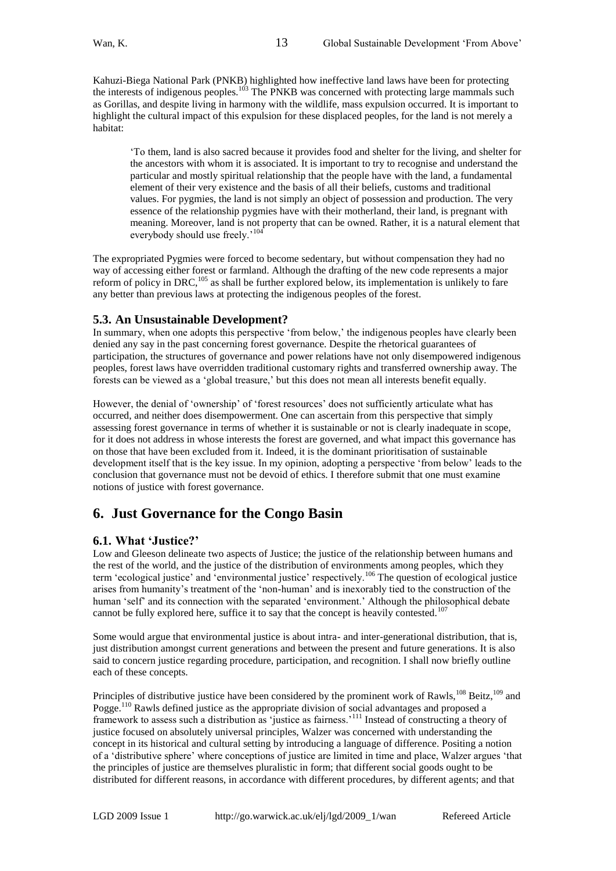Kahuzi-Biega National Park (PNKB) highlighted how ineffective land laws have been for protecting the interests of indigenous peoples.<sup>103</sup> The PNKB was concerned with protecting large mammals such as Gorillas, and despite living in harmony with the wildlife, mass expulsion occurred. It is important to highlight the cultural impact of this expulsion for these displaced peoples, for the land is not merely a habitat:

13

‗To them, land is also sacred because it provides food and shelter for the living, and shelter for the ancestors with whom it is associated. It is important to try to recognise and understand the particular and mostly spiritual relationship that the people have with the land, a fundamental element of their very existence and the basis of all their beliefs, customs and traditional values. For pygmies, the land is not simply an object of possession and production. The very essence of the relationship pygmies have with their motherland, their land, is pregnant with meaning. Moreover, land is not property that can be owned. Rather, it is a natural element that everybody should use freely.'<sup>10</sup>

The expropriated Pygmies were forced to become sedentary, but without compensation they had no way of accessing either forest or farmland. Although the drafting of the new code represents a major reform of policy in DRC,<sup>105</sup> as shall be further explored below, its implementation is unlikely to fare any better than previous laws at protecting the indigenous peoples of the forest.

### **5.3. An Unsustainable Development?**

In summary, when one adopts this perspective 'from below,' the indigenous peoples have clearly been denied any say in the past concerning forest governance. Despite the rhetorical guarantees of participation, the structures of governance and power relations have not only disempowered indigenous peoples, forest laws have overridden traditional customary rights and transferred ownership away. The forests can be viewed as a ‗global treasure,' but this does not mean all interests benefit equally.

However, the denial of 'ownership' of 'forest resources' does not sufficiently articulate what has occurred, and neither does disempowerment. One can ascertain from this perspective that simply assessing forest governance in terms of whether it is sustainable or not is clearly inadequate in scope, for it does not address in whose interests the forest are governed, and what impact this governance has on those that have been excluded from it. Indeed, it is the dominant prioritisation of sustainable development itself that is the key issue. In my opinion, adopting a perspective 'from below' leads to the conclusion that governance must not be devoid of ethics. I therefore submit that one must examine notions of justice with forest governance.

# **6. Just Governance for the Congo Basin**

### **6.1. What 'Justice?'**

Low and Gleeson delineate two aspects of Justice; the justice of the relationship between humans and the rest of the world, and the justice of the distribution of environments among peoples, which they term 'ecological justice' and 'environmental justice' respectively.<sup>106</sup> The question of ecological justice arises from humanity's treatment of the 'non-human' and is inexorably tied to the construction of the human 'self' and its connection with the separated 'environment.' Although the philosophical debate cannot be fully explored here, suffice it to say that the concept is heavily contested.<sup>107</sup>

Some would argue that environmental justice is about intra- and inter-generational distribution, that is, just distribution amongst current generations and between the present and future generations. It is also said to concern justice regarding procedure, participation, and recognition. I shall now briefly outline each of these concepts.

Principles of distributive justice have been considered by the prominent work of Rawls,<sup>108</sup> Beitz,<sup>109</sup> and Pogge.<sup>110</sup> Rawls defined justice as the appropriate division of social advantages and proposed a framework to assess such a distribution as ‗justice as fairness.'<sup>111</sup> Instead of constructing a theory of justice focused on absolutely universal principles, Walzer was concerned with understanding the concept in its historical and cultural setting by introducing a language of difference. Positing a notion of a ‗distributive sphere' where conceptions of justice are limited in time and place, Walzer argues ‗that the principles of justice are themselves pluralistic in form; that different social goods ought to be distributed for different reasons, in accordance with different procedures, by different agents; and that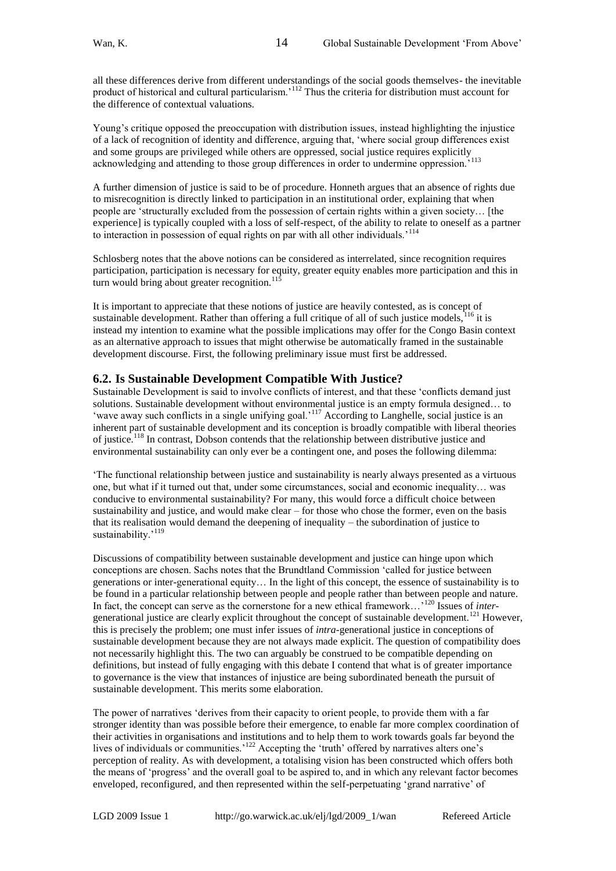all these differences derive from different understandings of the social goods themselves- the inevitable product of historical and cultural particularism.'<sup>112</sup> Thus the criteria for distribution must account for the difference of contextual valuations.

Young's critique opposed the preoccupation with distribution issues, instead highlighting the injustice of a lack of recognition of identity and difference, arguing that, 'where social group differences exist of a fact of recognition of neutron and some groups are privileged while others are oppressed, social justice requires explicitly acknowledging and attending to those group differences in order to undermine oppression.'

A further dimension of justice is said to be of procedure. Honneth argues that an absence of rights due to misrecognition is directly linked to participation in an institutional order, explaining that when people are ‗structurally excluded from the possession of certain rights within a given society… [the experience] is typically coupled with a loss of self-respect, of the ability to relate to oneself as a partner to interaction in possession of equal rights on par with all other individuals.'<sup>114</sup>

Schlosberg notes that the above notions can be considered as interrelated, since recognition requires participation, participation is necessary for equity, greater equity enables more participation and this in turn would bring about greater recognition.<sup>115</sup>

It is important to appreciate that these notions of justice are heavily contested, as is concept of sustainable development. Rather than offering a full critique of all of such justice models,  $^{116}$  it is instead my intention to examine what the possible implications may offer for the Congo Basin context as an alternative approach to issues that might otherwise be automatically framed in the sustainable development discourse. First, the following preliminary issue must first be addressed.

### **6.2. Is Sustainable Development Compatible With Justice?**

Sustainable Development is said to involve conflicts of interest, and that these 'conflicts demand just solutions. Sustainable development without environmental justice is an empty formula designed… to <sup>202</sup> Youthing the away such conflicts in a single unifying goal.<sup>'117</sup> According to Langhelle, social justice is an inherent part of sustainable development and its conception is broadly compatible with liberal theories of justice.<sup>118</sup> In contrast, Dobson contends that the relationship between distributive justice and environmental sustainability can only ever be a contingent one, and poses the following dilemma:

‗The functional relationship between justice and sustainability is nearly always presented as a virtuous one, but what if it turned out that, under some circumstances, social and economic inequality… was conducive to environmental sustainability? For many, this would force a difficult choice between sustainability and justice, and would make clear – for those who chose the former, even on the basis that its realisation would demand the deepening of inequality – the subordination of justice to sustainability.'<sup>119</sup>

Discussions of compatibility between sustainable development and justice can hinge upon which conceptions are chosen. Sachs notes that the Brundtland Commission 'called for justice between generations or inter-generational equity… In the light of this concept, the essence of sustainability is to be found in a particular relationship between people and people rather than between people and nature. In fact, the concept can serve as the cornerstone for a new ethical framework…'<sup>120</sup> Issues of *inter*generational justice are clearly explicit throughout the concept of sustainable development.<sup>121</sup> However, this is precisely the problem; one must infer issues of *intra-*generational justice in conceptions of sustainable development because they are not always made explicit. The question of compatibility does not necessarily highlight this. The two can arguably be construed to be compatible depending on definitions, but instead of fully engaging with this debate I contend that what is of greater importance to governance is the view that instances of injustice are being subordinated beneath the pursuit of sustainable development. This merits some elaboration.

The power of narratives 'derives from their capacity to orient people, to provide them with a far stronger identity than was possible before their emergence, to enable far more complex coordination of their activities in organisations and institutions and to help them to work towards goals far beyond the lives of individuals or communities.'<sup>122</sup> Accepting the 'truth' offered by narratives alters one's perception of reality. As with development, a totalising vision has been constructed which offers both the means of ‗progress' and the overall goal to be aspired to, and in which any relevant factor becomes enveloped, reconfigured, and then represented within the self-perpetuating 'grand narrative' of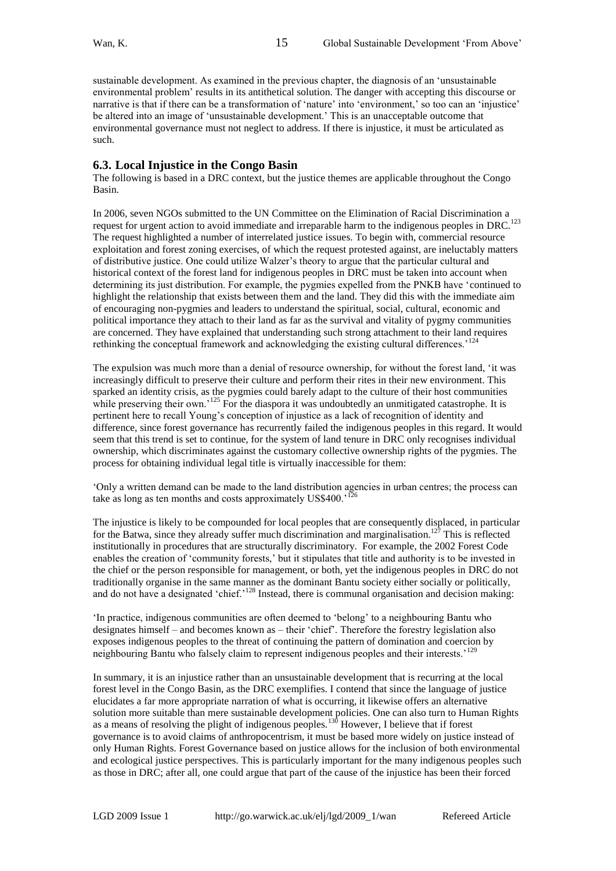sustainable development. As examined in the previous chapter, the diagnosis of an 'unsustainable environmental problem' results in its antithetical solution. The danger with accepting this discourse or narrative is that if there can be a transformation of 'nature' into 'environment,' so too can an 'injustice' be altered into an image of 'unsustainable development.' This is an unacceptable outcome that environmental governance must not neglect to address. If there is injustice, it must be articulated as such.

### **6.3. Local Injustice in the Congo Basin**

The following is based in a DRC context, but the justice themes are applicable throughout the Congo Basin.

In 2006, seven NGOs submitted to the UN Committee on the Elimination of Racial Discrimination a request for urgent action to avoid immediate and irreparable harm to the indigenous peoples in DRC.<sup>123</sup> The request highlighted a number of interrelated justice issues. To begin with, commercial resource exploitation and forest zoning exercises, of which the request protested against, are ineluctably matters of distributive justice. One could utilize Walzer's theory to argue that the particular cultural and historical context of the forest land for indigenous peoples in DRC must be taken into account when determining its just distribution. For example, the pygmies expelled from the PNKB have 'continued to highlight the relationship that exists between them and the land. They did this with the immediate aim of encouraging non-pygmies and leaders to understand the spiritual, social, cultural, economic and political importance they attach to their land as far as the survival and vitality of pygmy communities are concerned. They have explained that understanding such strong attachment to their land requires rethinking the conceptual framework and acknowledging the existing cultural differences.'<sup>12</sup>

The expulsion was much more than a denial of resource ownership, for without the forest land, 'it was increasingly difficult to preserve their culture and perform their rites in their new environment. This sparked an identity crisis, as the pygmies could barely adapt to the culture of their host communities while preserving their own.<sup>'125</sup> For the diaspora it was undoubtedly an unmitigated catastrophe. It is pertinent here to recall Young's conception of injustice as a lack of recognition of identity and difference, since forest governance has recurrently failed the indigenous peoples in this regard. It would seem that this trend is set to continue, for the system of land tenure in DRC only recognises individual ownership, which discriminates against the customary collective ownership rights of the pygmies. The process for obtaining individual legal title is virtually inaccessible for them:

‗Only a written demand can be made to the land distribution agencies in urban centres; the process can take as long as ten months and costs approximately US\$400.<sup>'126</sup>

The injustice is likely to be compounded for local peoples that are consequently displaced, in particular for the Batwa, since they already suffer much discrimination and marginalisation.<sup>127</sup> This is reflected institutionally in procedures that are structurally discriminatory. For example, the 2002 Forest Code enables the creation of ‗community forests,' but it stipulates that title and authority is to be invested in the chief or the person responsible for management, or both, yet the indigenous peoples in DRC do not traditionally organise in the same manner as the dominant Bantu society either socially or politically, and do not have a designated 'chief.'<sup>128</sup> Instead, there is communal organisation and decision making:

‗In practice, indigenous communities are often deemed to ‗belong' to a neighbouring Bantu who designates himself – and becomes known as – their ‗chief'. Therefore the forestry legislation also exposes indigenous peoples to the threat of continuing the pattern of domination and coercion by neighbouring Bantu who falsely claim to represent indigenous peoples and their interests.<sup>'129</sup>

In summary, it is an injustice rather than an unsustainable development that is recurring at the local forest level in the Congo Basin, as the DRC exemplifies. I contend that since the language of justice elucidates a far more appropriate narration of what is occurring, it likewise offers an alternative solution more suitable than mere sustainable development policies. One can also turn to Human Rights as a means of resolving the plight of indigenous peoples.<sup>130</sup> However, I believe that if forest governance is to avoid claims of anthropocentrism, it must be based more widely on justice instead of only Human Rights. Forest Governance based on justice allows for the inclusion of both environmental and ecological justice perspectives. This is particularly important for the many indigenous peoples such as those in DRC; after all, one could argue that part of the cause of the injustice has been their forced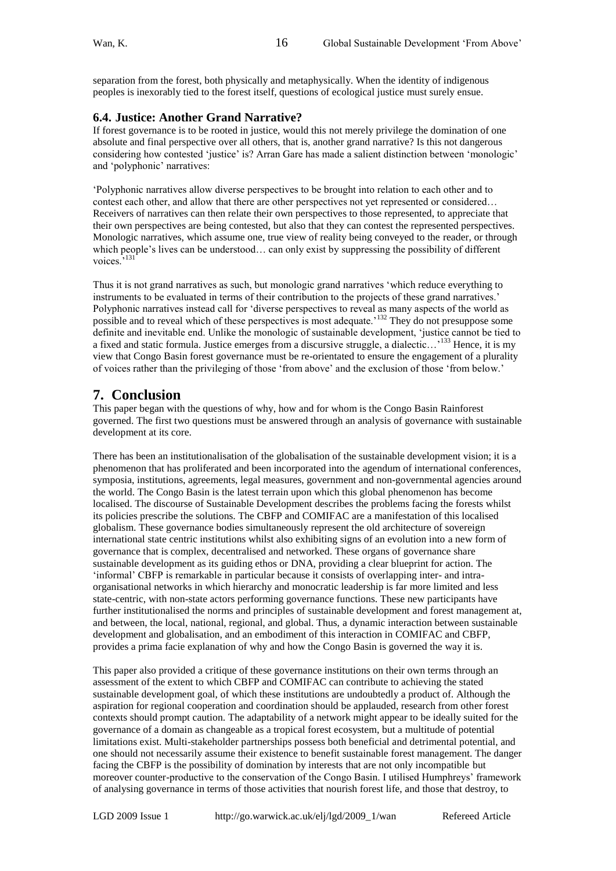separation from the forest, both physically and metaphysically. When the identity of indigenous peoples is inexorably tied to the forest itself, questions of ecological justice must surely ensue.

16

### **6.4. Justice: Another Grand Narrative?**

If forest governance is to be rooted in justice, would this not merely privilege the domination of one absolute and final perspective over all others, that is, another grand narrative? Is this not dangerous considering how contested 'justice' is? Arran Gare has made a salient distinction between 'monologic' and 'polyphonic' narratives:

‗Polyphonic narratives allow diverse perspectives to be brought into relation to each other and to contest each other, and allow that there are other perspectives not yet represented or considered... Receivers of narratives can then relate their own perspectives to those represented, to appreciate that their own perspectives are being contested, but also that they can contest the represented perspectives. Monologic narratives, which assume one, true view of reality being conveyed to the reader, or through which people's lives can be understood… can only exist by suppressing the possibility of different voices.<sup>',131</sup>

Thus it is not grand narratives as such, but monologic grand narratives 'which reduce everything to instruments to be evaluated in terms of their contribution to the projects of these grand narratives.' Polyphonic narratives instead call for 'diverse perspectives to reveal as many aspects of the world as possible and to reveal which of these perspectives is most adequate.<sup>'132</sup> They do not presuppose some definite and inevitable end. Unlike the monologic of sustainable development, 'justice cannot be tied to a fixed and static formula. Justice emerges from a discursive struggle, a dialectic…'<sup>133</sup> Hence, it is my view that Congo Basin forest governance must be re-orientated to ensure the engagement of a plurality of voices rather than the privileging of those ‗from above' and the exclusion of those ‗from below.'

# **7. Conclusion**

This paper began with the questions of why, how and for whom is the Congo Basin Rainforest governed. The first two questions must be answered through an analysis of governance with sustainable development at its core.

There has been an institutionalisation of the globalisation of the sustainable development vision; it is a phenomenon that has proliferated and been incorporated into the agendum of international conferences, symposia, institutions, agreements, legal measures, government and non-governmental agencies around the world. The Congo Basin is the latest terrain upon which this global phenomenon has become localised. The discourse of Sustainable Development describes the problems facing the forests whilst its policies prescribe the solutions. The CBFP and COMIFAC are a manifestation of this localised globalism. These governance bodies simultaneously represent the old architecture of sovereign international state centric institutions whilst also exhibiting signs of an evolution into a new form of governance that is complex, decentralised and networked. These organs of governance share sustainable development as its guiding ethos or DNA, providing a clear blueprint for action. The ‗informal' CBFP is remarkable in particular because it consists of overlapping inter- and intraorganisational networks in which hierarchy and monocratic leadership is far more limited and less state-centric, with non-state actors performing governance functions. These new participants have further institutionalised the norms and principles of sustainable development and forest management at, and between, the local, national, regional, and global. Thus, a dynamic interaction between sustainable development and globalisation, and an embodiment of this interaction in COMIFAC and CBFP, provides a prima facie explanation of why and how the Congo Basin is governed the way it is.

This paper also provided a critique of these governance institutions on their own terms through an assessment of the extent to which CBFP and COMIFAC can contribute to achieving the stated sustainable development goal, of which these institutions are undoubtedly a product of. Although the aspiration for regional cooperation and coordination should be applauded, research from other forest contexts should prompt caution. The adaptability of a network might appear to be ideally suited for the governance of a domain as changeable as a tropical forest ecosystem, but a multitude of potential limitations exist. Multi-stakeholder partnerships possess both beneficial and detrimental potential, and one should not necessarily assume their existence to benefit sustainable forest management. The danger facing the CBFP is the possibility of domination by interests that are not only incompatible but moreover counter-productive to the conservation of the Congo Basin. I utilised Humphreys' framework of analysing governance in terms of those activities that nourish forest life, and those that destroy, to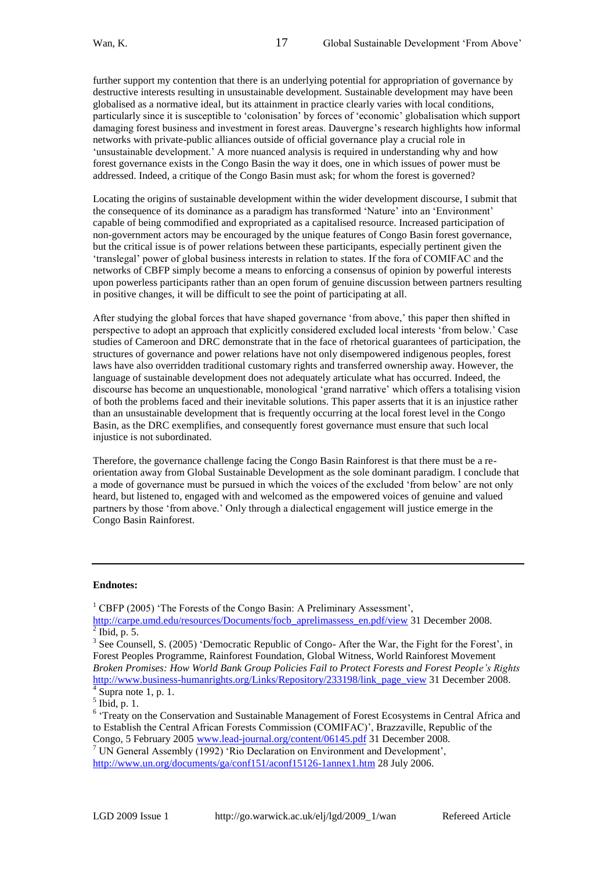further support my contention that there is an underlying potential for appropriation of governance by destructive interests resulting in unsustainable development. Sustainable development may have been globalised as a normative ideal, but its attainment in practice clearly varies with local conditions, particularly since it is susceptible to 'colonisation' by forces of 'economic' globalisation which support damaging forest business and investment in forest areas. Dauvergne's research highlights how informal networks with private-public alliances outside of official governance play a crucial role in 'unsustainable development.' A more nuanced analysis is required in understanding why and how forest governance exists in the Congo Basin the way it does, one in which issues of power must be addressed. Indeed, a critique of the Congo Basin must ask; for whom the forest is governed?

Locating the origins of sustainable development within the wider development discourse, I submit that the consequence of its dominance as a paradigm has transformed 'Nature' into an 'Environment' capable of being commodified and expropriated as a capitalised resource. Increased participation of non-government actors may be encouraged by the unique features of Congo Basin forest governance, but the critical issue is of power relations between these participants, especially pertinent given the ‗translegal' power of global business interests in relation to states. If the fora of COMIFAC and the networks of CBFP simply become a means to enforcing a consensus of opinion by powerful interests upon powerless participants rather than an open forum of genuine discussion between partners resulting in positive changes, it will be difficult to see the point of participating at all.

After studying the global forces that have shaped governance 'from above,' this paper then shifted in perspective to adopt an approach that explicitly considered excluded local interests 'from below.' Case studies of Cameroon and DRC demonstrate that in the face of rhetorical guarantees of participation, the structures of governance and power relations have not only disempowered indigenous peoples, forest laws have also overridden traditional customary rights and transferred ownership away. However, the language of sustainable development does not adequately articulate what has occurred. Indeed, the discourse has become an unquestionable, monological ‗grand narrative' which offers a totalising vision of both the problems faced and their inevitable solutions. This paper asserts that it is an injustice rather than an unsustainable development that is frequently occurring at the local forest level in the Congo Basin, as the DRC exemplifies, and consequently forest governance must ensure that such local injustice is not subordinated.

Therefore, the governance challenge facing the Congo Basin Rainforest is that there must be a reorientation away from Global Sustainable Development as the sole dominant paradigm. I conclude that a mode of governance must be pursued in which the voices of the excluded 'from below' are not only heard, but listened to, engaged with and welcomed as the empowered voices of genuine and valued partners by those 'from above.' Only through a dialectical engagement will justice emerge in the Congo Basin Rainforest.

#### **Endnotes:**

 $1$  CBFP (2005) 'The Forests of the Congo Basin: A Preliminary Assessment',

[http://carpe.umd.edu/resources/Documents/focb\\_aprelimassess\\_en.pdf/view](http://carpe.umd.edu/resources/Documents/focb_aprelimassess_en.pdf/view) 31 December 2008.  $<sup>2</sup>$  Ibid, p. 5.</sup>

<sup>&</sup>lt;sup>3</sup> See Counsell, S. (2005) 'Democratic Republic of Congo- After the War, the Fight for the Forest', in Forest Peoples Programme, Rainforest Foundation, Global Witness, World Rainforest Movement *Broken Promises: How World Bank Group Policies Fail to Protect Forests and Forest People's Rights* [http://www.business-humanrights.org/Links/Repository/233198/link\\_page\\_view](http://www.business-humanrights.org/Links/Repository/233198/link_page_view) 31 December 2008.<br><sup>4</sup> Supra note 1, p. 1.

 $<sup>5</sup>$  Ibid, p. 1.</sup>

<sup>&</sup>lt;sup>6</sup> 'Treaty on the Conservation and Sustainable Management of Forest Ecosystems in Central Africa and to Establish the Central African Forests Commission (COMIFAC)', Brazzaville, Republic of the Congo, 5 February 2005 [www.lead-journal.org/content/06145.pdf](http://www.lead-journal.org/content/06145.pdf) 31 December 2008.

<sup>&</sup>lt;sup>7</sup> UN General Assembly (1992) 'Rio Declaration on Environment and Development', <http://www.un.org/documents/ga/conf151/aconf15126-1annex1.htm> 28 July 2006.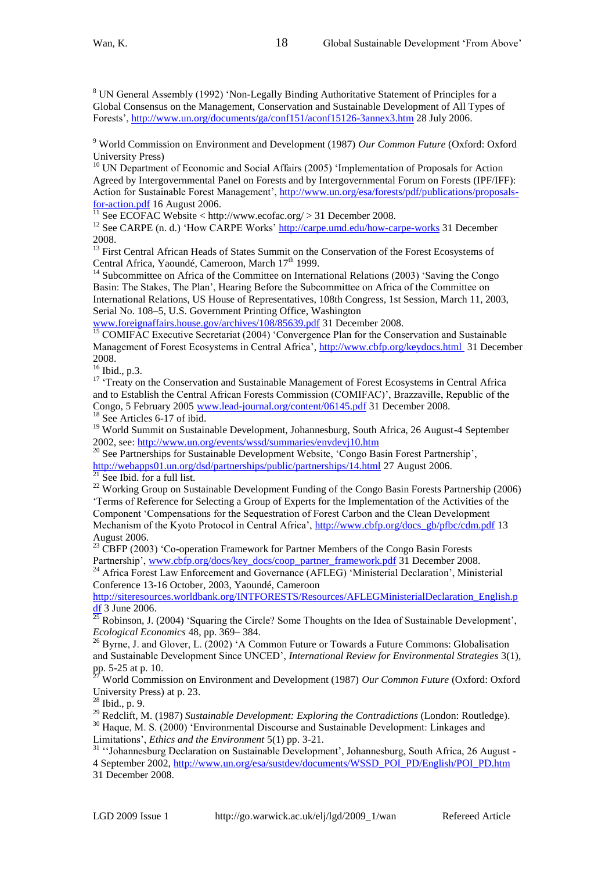<sup>8</sup> UN General Assembly (1992) 'Non-Legally Binding Authoritative Statement of Principles for a Global Consensus on the Management, Conservation and Sustainable Development of All Types of Forests',<http://www.un.org/documents/ga/conf151/aconf15126-3annex3.htm> 28 July 2006.

18

<sup>9</sup> World Commission on Environment and Development (1987) *Our Common Future* (Oxford: Oxford University Press)

<sup>10</sup> UN Department of Economic and Social Affairs (2005) 'Implementation of Proposals for Action Agreed by Intergovernmental Panel on Forests and by Intergovernmental Forum on Forests (IPF/IFF): Action for Sustainable Forest Management', [http://www.un.org/esa/forests/pdf/publications/proposals](http://www.un.org/esa/forests/pdf/publications/proposals-for-action.pdf)[for-action.pdf](http://www.un.org/esa/forests/pdf/publications/proposals-for-action.pdf) 16 August 2006.

 $11$  See ECOFAC Website < http://www.ecofac.org/ > 31 December 2008.

<sup>12</sup> See CARPE (n. d.) 'How CARPE Works' <u>http://carpe.umd.edu/how-carpe-works</u> 31 December 2008.

<sup>13</sup> First Central African Heads of States Summit on the Conservation of the Forest Ecosystems of Central Africa, Yaoundé, Cameroon, March 17<sup>th</sup> 1999.

Subcommittee on Africa of the Committee on International Relations (2003) 'Saving the Congo Basin: The Stakes, The Plan', Hearing Before the Subcommittee on Africa of the Committee on International Relations, US House of Representatives, 108th Congress, 1st Session, March 11, 2003, Serial No. 108–5, U.S. Government Printing Office, Washington

[www.foreignaffairs.house.gov/archives/108/85639.pdf](http://www.foreignaffairs.house.gov/archives/108/85639.pdf) 31 December 2008.

<sup>15</sup> COMIFAC Executive Secretariat (2004) 'Convergence Plan for the Conservation and Sustainable Management of Forest Ecosystems in Central Africa'[, http://www.cbfp.org/keydocs.html](http://www.cbfp.org/keydocs.html) 31 December 2008.

<sup>16</sup> Ibid., p.3.

<sup>17</sup> 'Treaty on the Conservation and Sustainable Management of Forest Ecosystems in Central Africa and to Establish the Central African Forests Commission (COMIFAC)', Brazzaville, Republic of the Congo, 5 February 2005 [www.lead-journal.org/content/06145.pdf](http://www.lead-journal.org/content/06145.pdf) 31 December 2008. <sup>18</sup> See Articles 6-17 of ibid.

<sup>19</sup> World Summit on Sustainable Development, Johannesburg, South Africa, 26 August-4 September 2002, see:<http://www.un.org/events/wssd/summaries/envdevj10.htm>

<sup>20</sup> See Partnerships for Sustainable Development Website, 'Congo Basin Forest Partnership', <http://webapps01.un.org/dsd/partnerships/public/partnerships/14.html> 27 August 2006.

 $21$  See Ibid. for a full list.

<sup>22</sup> Working Group on Sustainable Development Funding of the Congo Basin Forests Partnership (2006) ‗Terms of Reference for Selecting a Group of Experts for the Implementation of the Activities of the Component ‗Compensations for the Sequestration of Forest Carbon and the Clean Development Mechanism of the Kyoto Protocol in Central Africa', [http://www.cbfp.org/docs\\_gb/pfbc/cdm.pdf](http://www.cbfp.org/docs_gb/pfbc/cdm.pdf) 13 August 2006.

<sup>23</sup> CBFP (2003) 'Co-operation Framework for Partner Members of the Congo Basin Forests Partnership'[, www.cbfp.org/docs/key\\_docs/coop\\_partner\\_framework.pdf](http://www.cbfp.org/docs/key_docs/coop_partner_framework.pdf) 31 December 2008.

<sup>24</sup> Africa Forest Law Enforcement and Governance (AFLEG) 'Ministerial Declaration', Ministerial Conference 13-16 October, 2003, Yaoundé, Cameroon

[http://siteresources.worldbank.org/INTFORESTS/Resources/AFLEGMinisterialDeclaration\\_English.p](http://siteresources.worldbank.org/INTFORESTS/Resources/AFLEGMinisterialDeclaration_English.pdf) [df](http://siteresources.worldbank.org/INTFORESTS/Resources/AFLEGMinisterialDeclaration_English.pdf) 3 June 2006.

 $^{25}$  Robinson, J. (2004) 'Squaring the Circle? Some Thoughts on the Idea of Sustainable Development', *Ecological Economics* 48, pp. 369– 384.

<sup>26</sup> Byrne, J. and Glover, L. (2002) 'A Common Future or Towards a Future Commons: Globalisation and Sustainable Development Since UNCED', *International Review for Environmental Strategies* 3(1), pp. 5-25 at p. 10.

<sup>27</sup> World Commission on Environment and Development (1987) *Our Common Future* (Oxford: Oxford University Press) at p. 23.

 $28$  Ibid., p. 9.

<sup>29</sup> Redclift, M. (1987) *Sustainable Development: Exploring the Contradictions* (London: Routledge). <sup>30</sup> Haque, M. S. (2000) 'Environmental Discourse and Sustainable Development: Linkages and Limitations', *Ethics and the Environment* 5(1) pp. 3-21.

<sup>31</sup> "Johannesburg Declaration on Sustainable Development', Johannesburg, South Africa, 26 August -4 September 2002[, http://www.un.org/esa/sustdev/documents/WSSD\\_POI\\_PD/English/POI\\_PD.htm](http://www.un.org/esa/sustdev/documents/WSSD_POI_PD/English/POI_PD.htm) 31 December 2008.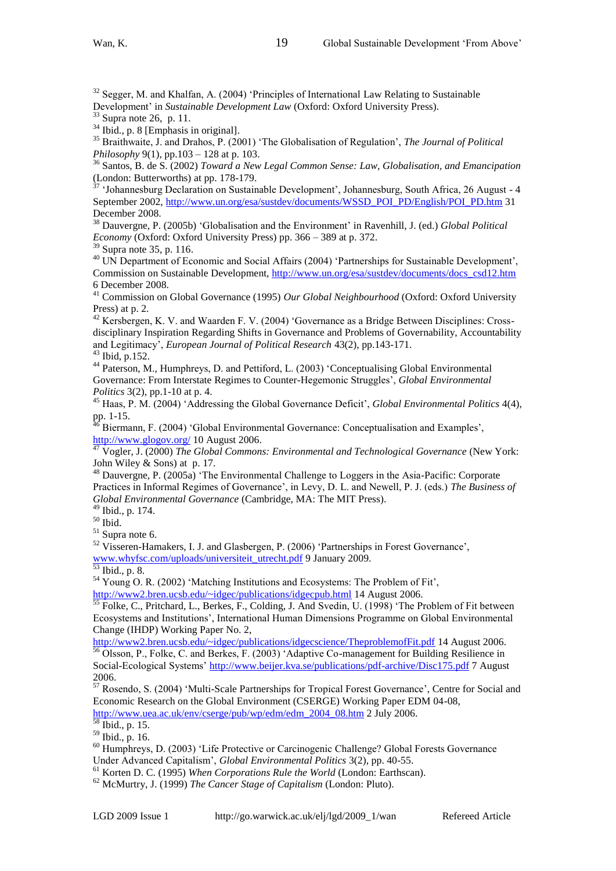$32$  Segger, M. and Khalfan, A. (2004) 'Principles of International Law Relating to Sustainable Development' in *Sustainable Development Law* (Oxford: Oxford University Press).

19

Supra note 26, p. 11.

<sup>34</sup> Ibid., p. 8 [Emphasis in original].

<sup>35</sup> Braithwaite, J. and Drahos, P. (2001) 'The Globalisation of Regulation', *The Journal of Political Philosophy* 9(1), pp.103 – 128 at p. 103.

<sup>36</sup> Santos, B. de S. (2002) *Toward a New Legal Common Sense: Law, Globalisation, and Emancipation* (London: Butterworths) at pp. 178-179.

<sup>37</sup> 'Johannesburg Declaration on Sustainable Development', Johannesburg, South Africa, 26 August - 4 September 2002, [http://www.un.org/esa/sustdev/documents/WSSD\\_POI\\_PD/English/POI\\_PD.htm](http://www.un.org/esa/sustdev/documents/WSSD_POI_PD/English/POI_PD.htm) 31 December 2008.

<sup>38</sup> Dauvergne, P. (2005b) 'Globalisation and the Environment' in Ravenhill, J. (ed.) *Global Political Economy* (Oxford: Oxford University Press) pp. 366 – 389 at p. 372.

<sup>39</sup> Supra note 35, p. 116.

<sup>40</sup> UN Department of Economic and Social Affairs (2004) 'Partnerships for Sustainable Development', Commission on Sustainable Development, [http://www.un.org/esa/sustdev/documents/docs\\_csd12.htm](http://www.un.org/esa/sustdev/documents/docs_csd12.htm)  6 December 2008.

<sup>41</sup> Commission on Global Governance (1995) *Our Global Neighbourhood* (Oxford: Oxford University Press) at p. 2.

<sup>42</sup> Kersbergen, K. V. and Waarden F. V. (2004) 'Governance as a Bridge Between Disciplines: Crossdisciplinary Inspiration Regarding Shifts in Governance and Problems of Governability, Accountability and Legitimacy', *European Journal of Political Research* 43(2), pp.143-171. <sup>43</sup> Ibid, p.152.

<sup>44</sup> Paterson, M., Humphreys, D. and Pettiford, L. (2003) 'Conceptualising Global Environmental Governance: From Interstate Regimes to Counter-Hegemonic Struggles', *Global Environmental Politics* 3(2), pp.1-10 at p. 4.

<sup>45</sup> Haas, P. M. (2004) 'Addressing the Global Governance Deficit', *Global Environmental Politics* 4(4), pp. 1-15.

<sup>46</sup> Biermann, F. (2004) 'Global Environmental Governance: Conceptualisation and Examples',  $rac{\text{http://www.glogov.org/}}{47 \text{ Vc-1}}$  $rac{\text{http://www.glogov.org/}}{47 \text{ Vc-1}}$  $rac{\text{http://www.glogov.org/}}{47 \text{ Vc-1}}$  10 August 2006.

<sup>47</sup> Vogler, J. (2000) *The Global Commons: Environmental and Technological Governance* (New York: John Wiley & Sons) at p. 17.

<sup>48</sup> Dauvergne, P. (2005a) 'The Environmental Challenge to Loggers in the Asia-Pacific: Corporate Practices in Informal Regimes of Governance', in Levy, D. L. and Newell, P. J. (eds.) *The Business of Global Environmental Governance* (Cambridge, MA: The MIT Press).

<sup>49</sup> Ibid., p. 174.

 $\overline{\phantom{a}}^{\rm 50}$ Ibid.

 $51$  Supra note 6.

<sup>52</sup> Visseren-Hamakers, I. J. and Glasbergen, P. (2006) 'Partnerships in Forest Governance', [www.whyfsc.com/uploads/universiteit\\_utrecht.pdf](http://www.whyfsc.com/uploads/universiteit_utrecht.pdf) 9 January 2009.

 $\frac{1}{53}$  Ibid., p. 8.

<sup>54</sup> Young O. R. (2002) 'Matching Institutions and Ecosystems: The Problem of Fit', <http://www2.bren.ucsb.edu/~idgec/publications/idgecpub.html> 14 August 2006.

 $55$  Folke, C., Pritchard, L., Berkes, F., Colding, J. And Svedin, U. (1998) The Problem of Fit between Ecosystems and Institutions', International Human Dimensions Programme on Global Environmental Change (IHDP) Working Paper No. 2,

<http://www2.bren.ucsb.edu/~idgec/publications/idgecscience/TheproblemofFit.pdf> 14 August 2006.

<sup>56</sup> Olsson, P., Folke, C. and Berkes, F. (2003) 'Adaptive Co-management for Building Resilience in Social-Ecological Systems[' http://www.beijer.kva.se/publications/pdf-archive/Disc175.pdf](http://www.beijer.kva.se/publications/pdf-archive/Disc175.pdf) 7 August 2006.

<sup>57</sup> Rosendo, S. (2004) ‗Multi-Scale Partnerships for Tropical Forest Governance', Centre for Social and Economic Research on the Global Environment (CSERGE) Working Paper EDM 04-08, [http://www.uea.ac.uk/env/cserge/pub/wp/edm/edm\\_2004\\_08.htm](http://www.uea.ac.uk/env/cserge/pub/wp/edm/edm_2004_08.htm) 2 July 2006.

 $\frac{58 \text{ Ibid., p. } 15.}{25.6 \text{ I}}$ 

<sup>59</sup> Ibid., p. 16.

<sup>60</sup> Humphreys, D. (2003) 'Life Protective or Carcinogenic Challenge? Global Forests Governance Under Advanced Capitalism', *Global Environmental Politics* 3(2), pp. 40-55.

<sup>61</sup> Korten D. C. (1995) *When Corporations Rule the World* (London: Earthscan).

<sup>62</sup> McMurtry, J. (1999) *The Cancer Stage of Capitalism* (London: Pluto).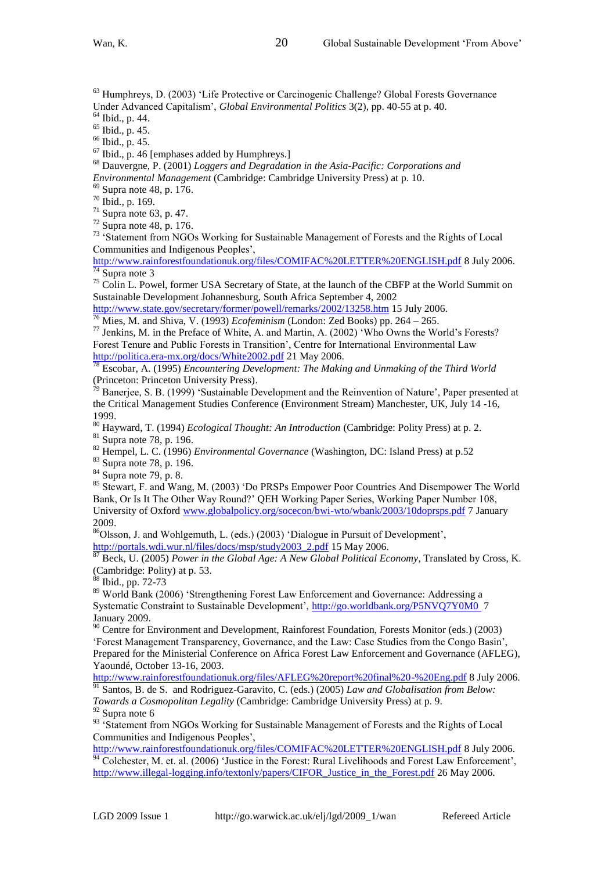<sup>63</sup> Humphreys, D. (2003) 'Life Protective or Carcinogenic Challenge? Global Forests Governance Under Advanced Capitalism', *Global Environmental Politics* 3(2), pp. 40-55 at p. 40.

<sup>64</sup> Ibid., p. 44.

<sup>65</sup> Ibid., p. 45.

<sup>66</sup> Ibid., p. 45.

<sup>67</sup> Ibid., p. 46 [emphases added by Humphreys.]

<sup>68</sup> Dauvergne, P. (2001) *Loggers and Degradation in the Asia-Pacific: Corporations and Environmental Management* (Cambridge: Cambridge University Press) at p. 10.

<sup>69</sup> Supra note 48, p. 176.

<sup>70</sup> Ibid., p. 169.

 $71$  Supra note 63, p. 47.

 $72$  Supra note 48, p. 176.

<sup>73</sup> 'Statement from NGOs Working for Sustainable Management of Forests and the Rights of Local Communities and Indigenous Peoples',

<http://www.rainforestfoundationuk.org/files/COMIFAC%20LETTER%20ENGLISH.pdf> 8 July 2006. <sup>74</sup> Supra note 3

<sup>75</sup> Colin L. Powel, former USA Secretary of State, at the launch of the CBFP at the World Summit on Sustainable Development Johannesburg, South Africa September 4, 2002

<http://www.state.gov/secretary/former/powell/remarks/2002/13258.htm> 15 July 2006. <sup>76</sup> Mies, M. and Shiva, V. (1993) *Ecofeminism* (London: Zed Books) pp. 264 – 265.

<sup>77</sup> Jenkins, M. in the Preface of White, A. and Martin, A. (2002) 'Who Owns the World's Forests? Forest Tenure and Public Forests in Transition', Centre for International Environmental Law <http://politica.era-mx.org/docs/White2002.pdf> 21 May 2006.

<sup>78</sup> Escobar, A. (1995) *Encountering Development: The Making and Unmaking of the Third World* (Princeton: Princeton University Press).

 $79$  Banerjee, S. B. (1999) 'Sustainable Development and the Reinvention of Nature', Paper presented at the Critical Management Studies Conference (Environment Stream) Manchester, UK, July 14 -16, 1999.

<sup>80</sup> Hayward, T. (1994) *Ecological Thought: An Introduction* (Cambridge: Polity Press) at p. 2. <sup>81</sup> Supra note 78, p. 196.

<sup>82</sup> Hempel, L. C. (1996) *Environmental Governance* (Washington, DC: Island Press) at p.52

<sup>83</sup> Supra note 78, p. 196.

 $84$  Supra note 79, p. 8.

85 Stewart, F. and Wang, M. (2003) 'Do PRSPs Empower Poor Countries And Disempower The World Bank, Or Is It The Other Way Round?' QEH Working Paper Series, Working Paper Number 108, University of Oxford [www.globalpolicy.org/socecon/bwi-wto/wbank/2003/10doprsps.pdf](http://www.globalpolicy.org/socecon/bwi-wto/wbank/2003/10doprsps.pdf) 7 January 2009.

<sup>86</sup>Olsson, J. and Wohlgemuth, L. (eds.) (2003) 'Dialogue in Pursuit of Development', [http://portals.wdi.wur.nl/files/docs/msp/study2003\\_2.pdf](http://portals.wdi.wur.nl/files/docs/msp/study2003_2.pdf) 15 May 2006.

<sup>87</sup> Beck, U. (2005) *Power in the Global Age: A New Global Political Economy*, Translated by Cross, K. (Cambridge: Polity) at p. 53.

 $\delta$  Ibid., pp. 72-73

89 World Bank (2006) 'Strengthening Forest Law Enforcement and Governance: Addressing a Systematic Constraint to Sustainable Development',<http://go.worldbank.org/P5NVQ7Y0M0>7 January 2009.

<sup>90</sup> Centre for Environment and Development, Rainforest Foundation, Forests Monitor (eds.) (2003) ‗Forest Management Transparency, Governance, and the Law: Case Studies from the Congo Basin', Prepared for the Ministerial Conference on Africa Forest Law Enforcement and Governance (AFLEG), Yaoundé, October 13-16, 2003.

<http://www.rainforestfoundationuk.org/files/AFLEG%20report%20final%20-%20Eng.pdf> 8 July 2006. <sup>91</sup> Santos, B. de S. and Rodriguez-Garavito, C. (eds.) (2005) *Law and Globalisation from Below: Towards a Cosmopolitan Legality* (Cambridge: Cambridge University Press) at p. 9.

 $92$  Supra note 6

<sup>93</sup> 'Statement from NGOs Working for Sustainable Management of Forests and the Rights of Local Communities and Indigenous Peoples',

<http://www.rainforestfoundationuk.org/files/COMIFAC%20LETTER%20ENGLISH.pdf> 8 July 2006.  $\frac{94}{94}$  Colchester, M. et. al. (2006) 'Justice in the Forest: Rural Livelihoods and Forest Law Enforcement', [http://www.illegal-logging.info/textonly/papers/CIFOR\\_Justice\\_in\\_the\\_Forest.pdf](http://www.illegal-logging.info/textonly/papers/CIFOR_Justice_in_the_Forest.pdf) 26 May 2006.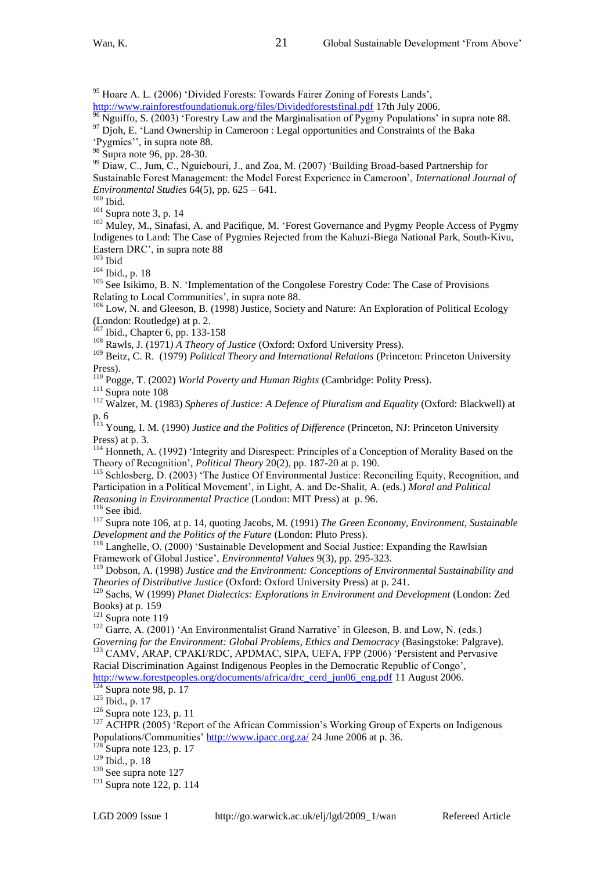<sup>95</sup> Hoare A. L. (2006) 'Divided Forests: Towards Fairer Zoning of Forests Lands',

<http://www.rainforestfoundationuk.org/files/Dividedforestsfinal.pdf> 17th July 2006.

Nguiffo, S. (2003) 'Forestry Law and the Marginalisation of Pygmy Populations' in supra note 88.

 $97$  Djoh, E. 'Land Ownership in Cameroon : Legal opportunities and Constraints of the Baka

21

‗Pygmies'', in supra note 88.

<sup>98</sup> Supra note 96, pp. 28-30.

<sup>99</sup> Diaw, C., Jum, C., Nguiebouri, J., and Zoa, M. (2007) 'Building Broad-based Partnership for Sustainable Forest Management: the Model Forest Experience in Cameroon', *International Journal of Environmental Studies* 64(5), pp. 625 – 641.

 $100$  Ibid.

 $101$  Supra note 3, p. 14

<sup>102</sup> Muley, M., Sinafasi, A. and Pacifique, M. 'Forest Governance and Pygmy People Access of Pygmy Indigenes to Land: The Case of Pygmies Rejected from the Kahuzi-Biega National Park, South-Kivu, Eastern DRC', in supra note 88

 $103$  Ibid

<sup>104</sup> Ibid., p. 18

<sup>105</sup> See Isikimo, B. N. 'Implementation of the Congolese Forestry Code: The Case of Provisions Relating to Local Communities', in supra note 88.

<sup>106</sup> Low, N. and Gleeson, B. (1998) Justice, Society and Nature: An Exploration of Political Ecology (London: Routledge) at p. 2.

<sup>107</sup> Ibid., Chapter 6, pp. 133-158

<sup>108</sup> Rawls, J. (1971*) A Theory of Justice* (Oxford: Oxford University Press).

<sup>109</sup> Beitz, C. R. (1979) *Political Theory and International Relations* (Princeton: Princeton University Press).

<sup>110</sup> Pogge, T. (2002) *World Poverty and Human Rights* (Cambridge: Polity Press).

 $111$  Supra note 108

<sup>112</sup> Walzer, M. (1983) *Spheres of Justice: A Defence of Pluralism and Equality* (Oxford: Blackwell) at p. 6

<sup>113</sup> Young, I. M. (1990) *Justice and the Politics of Difference* (Princeton, NJ: Princeton University Press) at p. 3.

<sup>114</sup> Honneth, A. (1992) 'Integrity and Disrespect: Principles of a Conception of Morality Based on the Theory of Recognition', *Political Theory* 20(2), pp. 187-20 at p. 190.

<sup>115</sup> Schlosberg, D. (2003) 'The Justice Of Environmental Justice: Reconciling Equity, Recognition, and Participation in a Political Movement', in Light, A. and De-Shalit, A. (eds.) *Moral and Political Reasoning in Environmental Practice* (London: MIT Press) at p. 96.

 $116$  See ibid.

<sup>117</sup> Supra note 106, at p. 14, quoting Jacobs, M. (1991) *The Green Economy, Environment, Sustainable Development and the Politics of the Future* (London: Pluto Press).

<sup>118</sup> Langhelle, O. (2000) 'Sustainable Development and Social Justice: Expanding the Rawlsian Framework of Global Justice', *Environmental Values* 9(3), pp. 295-323.

<sup>119</sup> Dobson, A. (1998) *Justice and the Environment: Conceptions of Environmental Sustainability and Theories of Distributive Justice* (Oxford: Oxford University Press) at p. 241.

<sup>120</sup> Sachs, W (1999) *Planet Dialectics: Explorations in Environment and Development* (London: Zed Books) at p. 159

 $121$  Supra note 119

 $122$  Garre, A. (2001) 'An Environmentalist Grand Narrative' in Gleeson, B. and Low, N. (eds.) *Governing for the Environment: Global Problems, Ethics and Democracy* (Basingstoke: Palgrave).

<sup>123</sup> CAMV, ARAP, CPAKI/RDC, APDMAC, SIPA, UEFA, FPP (2006) 'Persistent and Pervasive Racial Discrimination Against Indigenous Peoples in the Democratic Republic of Congo',

[http://www.forestpeoples.org/documents/africa/drc\\_cerd\\_jun06\\_eng.pdf](http://www.forestpeoples.org/documents/africa/drc_cerd_jun06_eng.pdf) 11 August 2006.  $\frac{124}{124}$ Supra note 98, p. 17

 $125$  Ibid., p. 17

 $126$  Supra note 123, p. 11

<sup>127</sup> ACHPR (2005) <sup>2</sup>Report of the African Commission's Working Group of Experts on Indigenous Populations/Communities[' http://www.ipacc.org.za/](http://www.ipacc.org.za/) 24 June 2006 at p. 36.

 $128$  Supra note 123, p. 17

<sup>129</sup> Ibid., p. 18

<sup>130</sup> See supra note 127

<sup>131</sup> Supra note 122, p. 114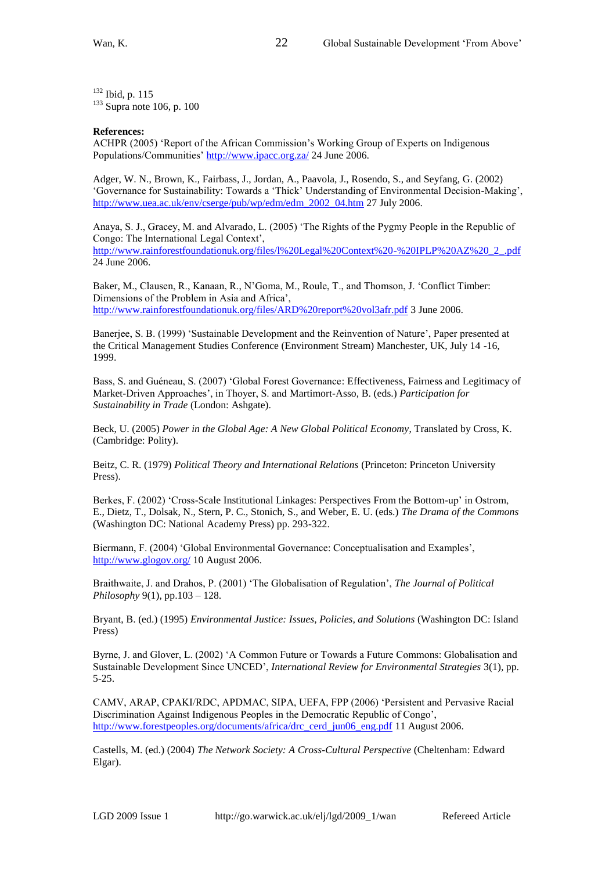<sup>132</sup> Ibid, p. 115  $133$  Supra note 106, p. 100

#### **References:**

ACHPR (2005) 'Report of the African Commission's Working Group of Experts on Indigenous Populations/Communities[' http://www.ipacc.org.za/](http://www.ipacc.org.za/) 24 June 2006.

Adger, W. N., Brown, K., Fairbass, J., Jordan, A., Paavola, J., Rosendo, S., and Seyfang, G. (2002) ‗Governance for Sustainability: Towards a ‗Thick' Understanding of Environmental Decision-Making', [http://www.uea.ac.uk/env/cserge/pub/wp/edm/edm\\_2002\\_04.htm](http://www.uea.ac.uk/env/cserge/pub/wp/edm/edm_2002_04.htm) 27 July 2006.

Anaya, S. J., Gracey, M. and Alvarado, L. (2005) ‗The Rights of the Pygmy People in the Republic of Congo: The International Legal Context', [http://www.rainforestfoundationuk.org/files/l%20Legal%20Context%20-%20IPLP%20AZ%20\\_2\\_.pdf](http://www.rainforestfoundationuk.org/files/l%20Legal%20Context%20-%20IPLP%20AZ%20_2_.pdf) 24 June 2006.

Baker, M., Clausen, R., Kanaan, R., N'Goma, M., Roule, T., and Thomson, J. 'Conflict Timber: Dimensions of the Problem in Asia and Africa', <http://www.rainforestfoundationuk.org/files/ARD%20report%20vol3afr.pdf> 3 June 2006.

Banerjee, S. B. (1999) 'Sustainable Development and the Reinvention of Nature', Paper presented at the Critical Management Studies Conference (Environment Stream) Manchester, UK, July 14 -16, 1999.

Bass, S. and Guéneau, S. (2007) ‗Global Forest Governance: Effectiveness, Fairness and Legitimacy of Market-Driven Approaches', in Thoyer, S. and Martimort-Asso, B. (eds.) *Participation for Sustainability in Trade* (London: Ashgate).

Beck, U. (2005) *Power in the Global Age: A New Global Political Economy*, Translated by Cross, K. (Cambridge: Polity).

Beitz, C. R. (1979) *Political Theory and International Relations* (Princeton: Princeton University Press).

Berkes, F. (2002) 'Cross-Scale Institutional Linkages: Perspectives From the Bottom-up' in Ostrom, E., Dietz, T., Dolsak, N., Stern, P. C., Stonich, S., and Weber, E. U. (eds.) *The Drama of the Commons* (Washington DC: National Academy Press) pp. 293-322.

Biermann, F. (2004) ‗Global Environmental Governance: Conceptualisation and Examples', <http://www.glogov.org/> 10 August 2006.

Braithwaite, J. and Drahos, P. (2001) ‗The Globalisation of Regulation', *The Journal of Political Philosophy* 9(1), pp.103 – 128.

Bryant, B. (ed.) (1995) *Environmental Justice: Issues, Policies, and Solutions* (Washington DC: Island Press)

Byrne, J. and Glover, L. (2002) ‗A Common Future or Towards a Future Commons: Globalisation and Sustainable Development Since UNCED', *International Review for Environmental Strategies* 3(1), pp. 5-25.

CAMV, ARAP, CPAKI/RDC, APDMAC, SIPA, UEFA, FPP (2006) ‗Persistent and Pervasive Racial Discrimination Against Indigenous Peoples in the Democratic Republic of Congo', [http://www.forestpeoples.org/documents/africa/drc\\_cerd\\_jun06\\_eng.pdf](http://www.forestpeoples.org/documents/africa/drc_cerd_jun06_eng.pdf) 11 August 2006.

Castells, M. (ed.) (2004) *The Network Society: A Cross-Cultural Perspective* (Cheltenham: Edward Elgar).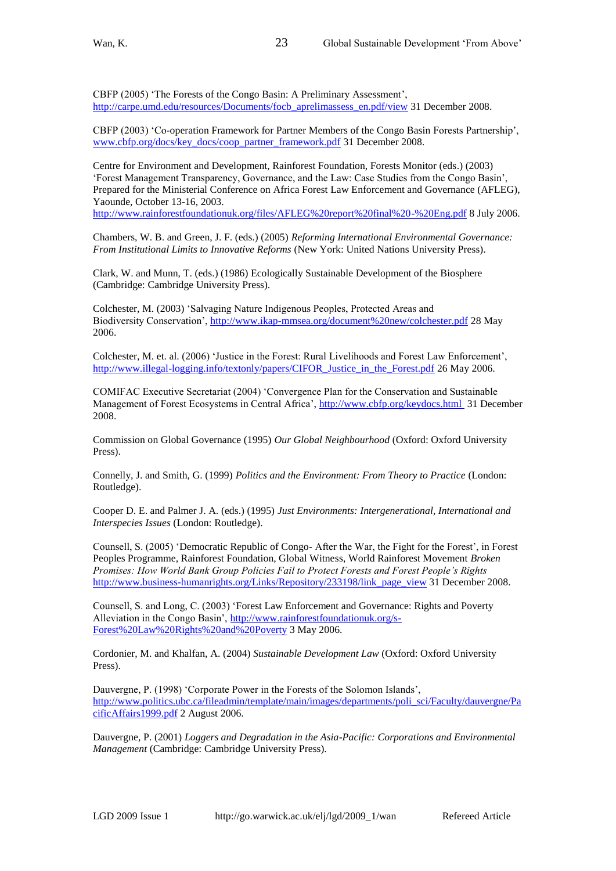CBFP (2005) 'The Forests of the Congo Basin: A Preliminary Assessment', [http://carpe.umd.edu/resources/Documents/focb\\_aprelimassess\\_en.pdf/view](http://carpe.umd.edu/resources/Documents/focb_aprelimassess_en.pdf/view) 31 December 2008.

23

CBFP (2003) ‗Co-operation Framework for Partner Members of the Congo Basin Forests Partnership', [www.cbfp.org/docs/key\\_docs/coop\\_partner\\_framework.pdf](http://www.cbfp.org/docs/key_docs/coop_partner_framework.pdf) 31 December 2008.

Centre for Environment and Development, Rainforest Foundation, Forests Monitor (eds.) (2003) ‗Forest Management Transparency, Governance, and the Law: Case Studies from the Congo Basin', Prepared for the Ministerial Conference on Africa Forest Law Enforcement and Governance (AFLEG), Yaounde, October 13-16, 2003.

<http://www.rainforestfoundationuk.org/files/AFLEG%20report%20final%20-%20Eng.pdf> 8 July 2006.

Chambers, W. B. and Green, J. F. (eds.) (2005) *Reforming International Environmental Governance: From Institutional Limits to Innovative Reforms* (New York: United Nations University Press).

Clark, W. and Munn, T. (eds.) (1986) Ecologically Sustainable Development of the Biosphere (Cambridge: Cambridge University Press).

Colchester, M. (2003) 'Salvaging Nature Indigenous Peoples, Protected Areas and Biodiversity Conservation',<http://www.ikap-mmsea.org/document%20new/colchester.pdf> 28 May 2006.

Colchester, M. et. al. (2006) ‗Justice in the Forest: Rural Livelihoods and Forest Law Enforcement', [http://www.illegal-logging.info/textonly/papers/CIFOR\\_Justice\\_in\\_the\\_Forest.pdf](http://www.illegal-logging.info/textonly/papers/CIFOR_Justice_in_the_Forest.pdf) 26 May 2006.

COMIFAC Executive Secretariat (2004) ‗Convergence Plan for the Conservation and Sustainable Management of Forest Ecosystems in Central Africa',<http://www.cbfp.org/keydocs.html>31 December 2008.

Commission on Global Governance (1995) *Our Global Neighbourhood* (Oxford: Oxford University Press).

Connelly, J. and Smith, G. (1999) *Politics and the Environment: From Theory to Practice* (London: Routledge).

Cooper D. E. and Palmer J. A. (eds.) (1995) *Just Environments: Intergenerational, International and Interspecies Issues* (London: Routledge).

Counsell, S. (2005) 'Democratic Republic of Congo- After the War, the Fight for the Forest', in Forest Peoples Programme, Rainforest Foundation, Global Witness, World Rainforest Movement *Broken Promises: How World Bank Group Policies Fail to Protect Forests and Forest People's Rights* [http://www.business-humanrights.org/Links/Repository/233198/link\\_page\\_view](http://www.business-humanrights.org/Links/Repository/233198/link_page_view) 31 December 2008.

Counsell, S. and Long, C. (2003) ‗Forest Law Enforcement and Governance: Rights and Poverty Alleviation in the Congo Basin', [http://www.rainforestfoundationuk.org/s-](http://www.rainforestfoundationuk.org/s-Forest%20Law%20Rights%20and%20Poverty)[Forest%20Law%20Rights%20and%20Poverty](http://www.rainforestfoundationuk.org/s-Forest%20Law%20Rights%20and%20Poverty) 3 May 2006.

Cordonier, M. and Khalfan, A. (2004) *Sustainable Development Law* (Oxford: Oxford University Press).

Dauvergne, P. (1998) 'Corporate Power in the Forests of the Solomon Islands', [http://www.politics.ubc.ca/fileadmin/template/main/images/departments/poli\\_sci/Faculty/dauvergne/Pa](http://www.politics.ubc.ca/fileadmin/template/main/images/departments/poli_sci/Faculty/dauvergne/PacificAffairs1999.pdf) [cificAffairs1999.pdf](http://www.politics.ubc.ca/fileadmin/template/main/images/departments/poli_sci/Faculty/dauvergne/PacificAffairs1999.pdf) 2 August 2006.

Dauvergne, P. (2001) *Loggers and Degradation in the Asia-Pacific: Corporations and Environmental Management* (Cambridge: Cambridge University Press).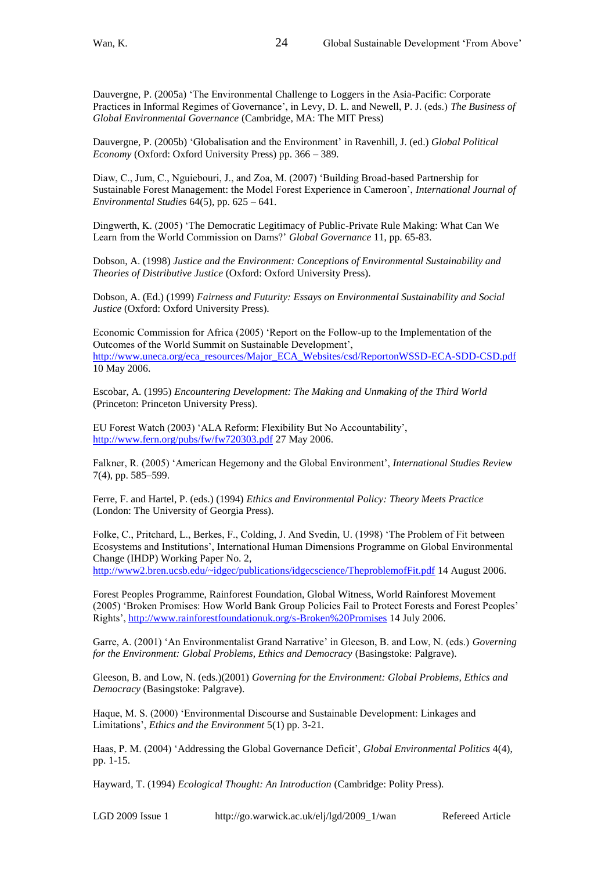Dauvergne, P. (2005a) 'The Environmental Challenge to Loggers in the Asia-Pacific: Corporate Practices in Informal Regimes of Governance', in Levy, D. L. and Newell, P. J. (eds.) *The Business of Global Environmental Governance* (Cambridge, MA: The MIT Press)

Dauvergne, P. (2005b) ‗Globalisation and the Environment' in Ravenhill, J. (ed.) *Global Political Economy* (Oxford: Oxford University Press) pp. 366 – 389*.*

Diaw, C., Jum, C., Nguiebouri, J., and Zoa, M. (2007) ‗Building Broad-based Partnership for Sustainable Forest Management: the Model Forest Experience in Cameroon', *International Journal of Environmental Studies* 64(5), pp. 625 – 641.

Dingwerth, K. (2005) 'The Democratic Legitimacy of Public-Private Rule Making: What Can We Learn from the World Commission on Dams?' *Global Governance* 11, pp. 65-83.

Dobson, A. (1998) *Justice and the Environment: Conceptions of Environmental Sustainability and Theories of Distributive Justice* (Oxford: Oxford University Press).

Dobson, A. (Ed.) (1999) *Fairness and Futurity: Essays on Environmental Sustainability and Social Justice* (Oxford: Oxford University Press).

Economic Commission for Africa (2005) 'Report on the Follow-up to the Implementation of the Outcomes of the World Summit on Sustainable Development', [http://www.uneca.org/eca\\_resources/Major\\_ECA\\_Websites/csd/ReportonWSSD-ECA-SDD-CSD.pdf](http://www.uneca.org/eca_resources/Major_ECA_Websites/csd/ReportonWSSD-ECA-SDD-CSD.pdf) 10 May 2006.

Escobar, A. (1995) *Encountering Development: The Making and Unmaking of the Third World* (Princeton: Princeton University Press).

EU Forest Watch (2003) ‗ALA Reform: Flexibility But No Accountability', <http://www.fern.org/pubs/fw/fw720303.pdf> 27 May 2006.

Falkner, R. (2005) ‗American Hegemony and the Global Environment', *International Studies Review* 7(4), pp. 585–599.

Ferre, F. and Hartel, P. (eds.) (1994) *Ethics and Environmental Policy: Theory Meets Practice* (London: The University of Georgia Press).

Folke, C., Pritchard, L., Berkes, F., Colding, J. And Svedin, U. (1998) ‗The Problem of Fit between Ecosystems and Institutions', International Human Dimensions Programme on Global Environmental Change (IHDP) Working Paper No. 2,

<http://www2.bren.ucsb.edu/~idgec/publications/idgecscience/TheproblemofFit.pdf> 14 August 2006.

Forest Peoples Programme, Rainforest Foundation, Global Witness, World Rainforest Movement (2005) 'Broken Promises: How World Bank Group Policies Fail to Protect Forests and Forest Peoples' Rights',<http://www.rainforestfoundationuk.org/s-Broken%20Promises> 14 July 2006.

Garre, A. (2001) 'An Environmentalist Grand Narrative' in Gleeson, B. and Low, N. (eds.) *Governing for the Environment: Global Problems, Ethics and Democracy* (Basingstoke: Palgrave).

Gleeson, B. and Low, N. (eds.)(2001) *Governing for the Environment: Global Problems, Ethics and Democracy* (Basingstoke: Palgrave).

Haque, M. S. (2000) 'Environmental Discourse and Sustainable Development: Linkages and Limitations', *Ethics and the Environment* 5(1) pp. 3-21.

Haas, P. M. (2004) ‗Addressing the Global Governance Deficit', *Global Environmental Politics* 4(4), pp. 1-15.

Hayward, T. (1994) *Ecological Thought: An Introduction* (Cambridge: Polity Press).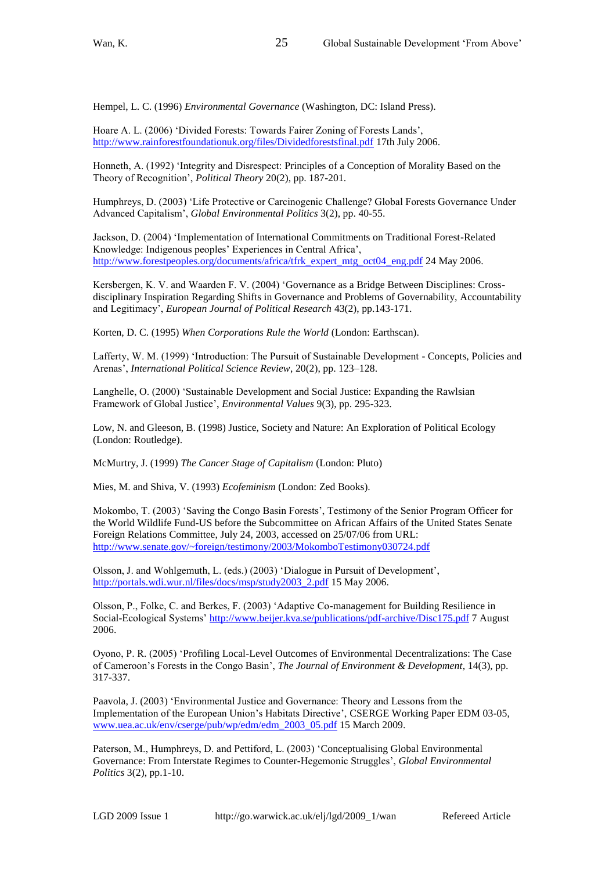Hempel, L. C. (1996) *Environmental Governance* (Washington, DC: Island Press).

Hoare A. L. (2006) 'Divided Forests: Towards Fairer Zoning of Forests Lands', <http://www.rainforestfoundationuk.org/files/Dividedforestsfinal.pdf> 17th July 2006.

Honneth, A. (1992) 'Integrity and Disrespect: Principles of a Conception of Morality Based on the Theory of Recognition', *Political Theory* 20(2), pp. 187-201.

Humphreys, D. (2003) ‗Life Protective or Carcinogenic Challenge? Global Forests Governance Under Advanced Capitalism', *Global Environmental Politics* 3(2), pp. 40-55.

Jackson, D. (2004) 'Implementation of International Commitments on Traditional Forest-Related Knowledge: Indigenous peoples' Experiences in Central Africa', [http://www.forestpeoples.org/documents/africa/tfrk\\_expert\\_mtg\\_oct04\\_eng.pdf](http://www.forestpeoples.org/documents/africa/tfrk_expert_mtg_oct04_eng.pdf) 24 May 2006.

Kersbergen, K. V. and Waarden F. V. (2004) 'Governance as a Bridge Between Disciplines: Crossdisciplinary Inspiration Regarding Shifts in Governance and Problems of Governability, Accountability and Legitimacy', *European Journal of Political Research* 43(2), pp.143-171.

Korten, D. C. (1995) *When Corporations Rule the World* (London: Earthscan).

Lafferty, W. M. (1999) 'Introduction: The Pursuit of Sustainable Development - Concepts, Policies and Arenas', *International Political Science Review*, 20(2), pp. 123–128.

Langhelle, O. (2000) 'Sustainable Development and Social Justice: Expanding the Rawlsian Framework of Global Justice', *Environmental Values* 9(3), pp. 295-323.

Low, N. and Gleeson, B. (1998) Justice, Society and Nature: An Exploration of Political Ecology (London: Routledge).

McMurtry, J. (1999) *The Cancer Stage of Capitalism* (London: Pluto)

Mies, M. and Shiva, V. (1993) *Ecofeminism* (London: Zed Books).

Mokombo, T. (2003) 'Saving the Congo Basin Forests', Testimony of the Senior Program Officer for the World Wildlife Fund-US before the Subcommittee on African Affairs of the United States Senate Foreign Relations Committee, July 24, 2003, accessed on 25/07/06 from URL: <http://www.senate.gov/~foreign/testimony/2003/MokomboTestimony030724.pdf>

Olsson, J. and Wohlgemuth, L. (eds.) (2003) ‗Dialogue in Pursuit of Development', [http://portals.wdi.wur.nl/files/docs/msp/study2003\\_2.pdf](http://portals.wdi.wur.nl/files/docs/msp/study2003_2.pdf) 15 May 2006.

Olsson, P., Folke, C. and Berkes, F. (2003) ‗Adaptive Co-management for Building Resilience in Social-Ecological Systems[' http://www.beijer.kva.se/publications/pdf-archive/Disc175.pdf](http://www.beijer.kva.se/publications/pdf-archive/Disc175.pdf) 7 August 2006.

Oyono, P. R. (2005) ‗Profiling Local-Level Outcomes of Environmental Decentralizations: The Case of Cameroon's Forests in the Congo Basin', *The Journal of Environment & Development*, 14(3), pp. 317-337.

Paavola, J. (2003) 'Environmental Justice and Governance: Theory and Lessons from the Implementation of the European Union's Habitats Directive', CSERGE Working Paper EDM 03-05, [www.uea.ac.uk/env/cserge/pub/wp/edm/edm\\_2003\\_05.pdf](http://www.uea.ac.uk/env/cserge/pub/wp/edm/edm_2003_05.pdf) 15 March 2009.

Paterson, M., Humphreys, D. and Pettiford, L. (2003) 'Conceptualising Global Environmental Governance: From Interstate Regimes to Counter-Hegemonic Struggles', *Global Environmental Politics* 3(2), pp.1-10.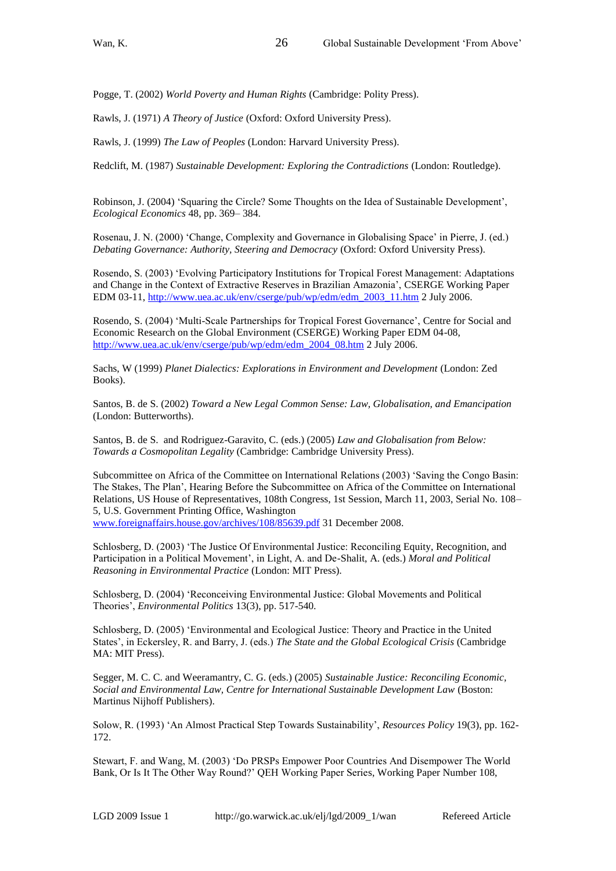Pogge, T. (2002) *World Poverty and Human Rights* (Cambridge: Polity Press).

26

Rawls, J. (1971) *A Theory of Justice* (Oxford: Oxford University Press).

Rawls, J. (1999) *The Law of Peoples* (London: Harvard University Press).

Redclift, M. (1987) *Sustainable Development: Exploring the Contradictions* (London: Routledge).

Robinson, J. (2004) 'Squaring the Circle? Some Thoughts on the Idea of Sustainable Development', *Ecological Economics* 48, pp. 369– 384.

Rosenau, J. N. (2000) ‗Change, Complexity and Governance in Globalising Space' in Pierre, J. (ed.) *Debating Governance: Authority, Steering and Democracy* (Oxford: Oxford University Press).

Rosendo, S. (2003) ‗Evolving Participatory Institutions for Tropical Forest Management: Adaptations and Change in the Context of Extractive Reserves in Brazilian Amazonia', CSERGE Working Paper EDM 03-11, [http://www.uea.ac.uk/env/cserge/pub/wp/edm/edm\\_2003\\_11.htm](http://www.uea.ac.uk/env/cserge/pub/wp/edm/edm_2003_11.htm) 2 July 2006.

Rosendo, S. (2004) 'Multi-Scale Partnerships for Tropical Forest Governance', Centre for Social and Economic Research on the Global Environment (CSERGE) Working Paper EDM 04-08, [http://www.uea.ac.uk/env/cserge/pub/wp/edm/edm\\_2004\\_08.htm](http://www.uea.ac.uk/env/cserge/pub/wp/edm/edm_2004_08.htm) 2 July 2006.

Sachs, W (1999) *Planet Dialectics: Explorations in Environment and Development* (London: Zed Books).

Santos, B. de S. (2002) *Toward a New Legal Common Sense: Law, Globalisation, and Emancipation* (London: Butterworths).

Santos, B. de S. and Rodriguez-Garavito, C. (eds.) (2005) *Law and Globalisation from Below: Towards a Cosmopolitan Legality* (Cambridge: Cambridge University Press).

Subcommittee on Africa of the Committee on International Relations (2003) 'Saving the Congo Basin: The Stakes, The Plan', Hearing Before the Subcommittee on Africa of the Committee on International Relations, US House of Representatives, 108th Congress, 1st Session, March 11, 2003, Serial No. 108– 5, U.S. Government Printing Office, Washington

[www.foreignaffairs.house.gov/archives/108/85639.pdf](http://www.foreignaffairs.house.gov/archives/108/85639.pdf) 31 December 2008.

Schlosberg, D. (2003) 'The Justice Of Environmental Justice: Reconciling Equity, Recognition, and Participation in a Political Movement', in Light, A. and De-Shalit, A. (eds.) *Moral and Political Reasoning in Environmental Practice* (London: MIT Press).

Schlosberg, D. (2004) 'Reconceiving Environmental Justice: Global Movements and Political Theories', *Environmental Politics* 13(3), pp. 517-540.

Schlosberg, D. (2005) ‗Environmental and Ecological Justice: Theory and Practice in the United States', in Eckersley, R. and Barry, J. (eds.) *The State and the Global Ecological Crisis* (Cambridge MA: MIT Press).

Segger, M. C. C. and Weeramantry, C. G. (eds.) (2005) *Sustainable Justice: Reconciling Economic, Social and Environmental Law, Centre for International Sustainable Development Law* (Boston: Martinus Nijhoff Publishers).

Solow, R. (1993) ‗An Almost Practical Step Towards Sustainability', *Resources Policy* 19(3), pp. 162- 172.

Stewart, F. and Wang, M. (2003) ‗Do PRSPs Empower Poor Countries And Disempower The World Bank, Or Is It The Other Way Round?' QEH Working Paper Series, Working Paper Number 108,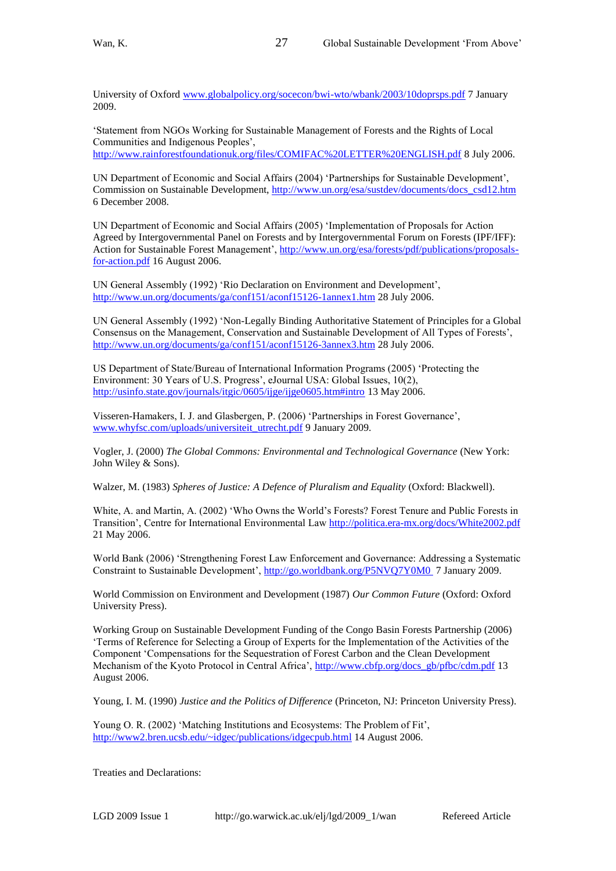University of Oxford [www.globalpolicy.org/socecon/bwi-wto/wbank/2003/10doprsps.pdf](http://www.globalpolicy.org/socecon/bwi-wto/wbank/2003/10doprsps.pdf) 7 January 2009.

27

‗Statement from NGOs Working for Sustainable Management of Forests and the Rights of Local Communities and Indigenous Peoples', <http://www.rainforestfoundationuk.org/files/COMIFAC%20LETTER%20ENGLISH.pdf> 8 July 2006.

UN Department of Economic and Social Affairs (2004) 'Partnerships for Sustainable Development', Commission on Sustainable Development, [http://www.un.org/esa/sustdev/documents/docs\\_csd12.htm](http://www.un.org/esa/sustdev/documents/docs_csd12.htm)  6 December 2008.

UN Department of Economic and Social Affairs (2005) 'Implementation of Proposals for Action Agreed by Intergovernmental Panel on Forests and by Intergovernmental Forum on Forests (IPF/IFF): Action for Sustainable Forest Management', [http://www.un.org/esa/forests/pdf/publications/proposals](http://www.un.org/esa/forests/pdf/publications/proposals-for-action.pdf)[for-action.pdf](http://www.un.org/esa/forests/pdf/publications/proposals-for-action.pdf) 16 August 2006.

UN General Assembly (1992) 'Rio Declaration on Environment and Development', <http://www.un.org/documents/ga/conf151/aconf15126-1annex1.htm> 28 July 2006.

UN General Assembly (1992) 'Non-Legally Binding Authoritative Statement of Principles for a Global Consensus on the Management, Conservation and Sustainable Development of All Types of Forests', <http://www.un.org/documents/ga/conf151/aconf15126-3annex3.htm> 28 July 2006.

US Department of State/Bureau of International Information Programs (2005) ‗Protecting the Environment: 30 Years of U.S. Progress', eJournal USA: Global Issues, 10(2), <http://usinfo.state.gov/journals/itgic/0605/ijge/ijge0605.htm#intro> 13 May 2006.

Visseren-Hamakers, I. J. and Glasbergen, P. (2006) ‗Partnerships in Forest Governance', [www.whyfsc.com/uploads/universiteit\\_utrecht.pdf](http://www.whyfsc.com/uploads/universiteit_utrecht.pdf) 9 January 2009.

Vogler, J. (2000) *The Global Commons: Environmental and Technological Governance* (New York: John Wiley & Sons).

Walzer, M. (1983) *Spheres of Justice: A Defence of Pluralism and Equality* (Oxford: Blackwell).

White, A. and Martin, A. (2002) 'Who Owns the World's Forests? Forest Tenure and Public Forests in Transition', Centre for International Environmental Law<http://politica.era-mx.org/docs/White2002.pdf> 21 May 2006.

World Bank (2006) 'Strengthening Forest Law Enforcement and Governance: Addressing a Systematic Constraint to Sustainable Development',<http://go.worldbank.org/P5NVQ7Y0M0>7 January 2009.

World Commission on Environment and Development (1987) *Our Common Future* (Oxford: Oxford University Press).

Working Group on Sustainable Development Funding of the Congo Basin Forests Partnership (2006) ‗Terms of Reference for Selecting a Group of Experts for the Implementation of the Activities of the Component ‗Compensations for the Sequestration of Forest Carbon and the Clean Development Mechanism of the Kyoto Protocol in Central Africa', [http://www.cbfp.org/docs\\_gb/pfbc/cdm.pdf](http://www.cbfp.org/docs_gb/pfbc/cdm.pdf) 13 August 2006.

Young, I. M. (1990) *Justice and the Politics of Difference* (Princeton, NJ: Princeton University Press).

Young O. R. (2002) 'Matching Institutions and Ecosystems: The Problem of Fit', <http://www2.bren.ucsb.edu/~idgec/publications/idgecpub.html> 14 August 2006.

Treaties and Declarations: